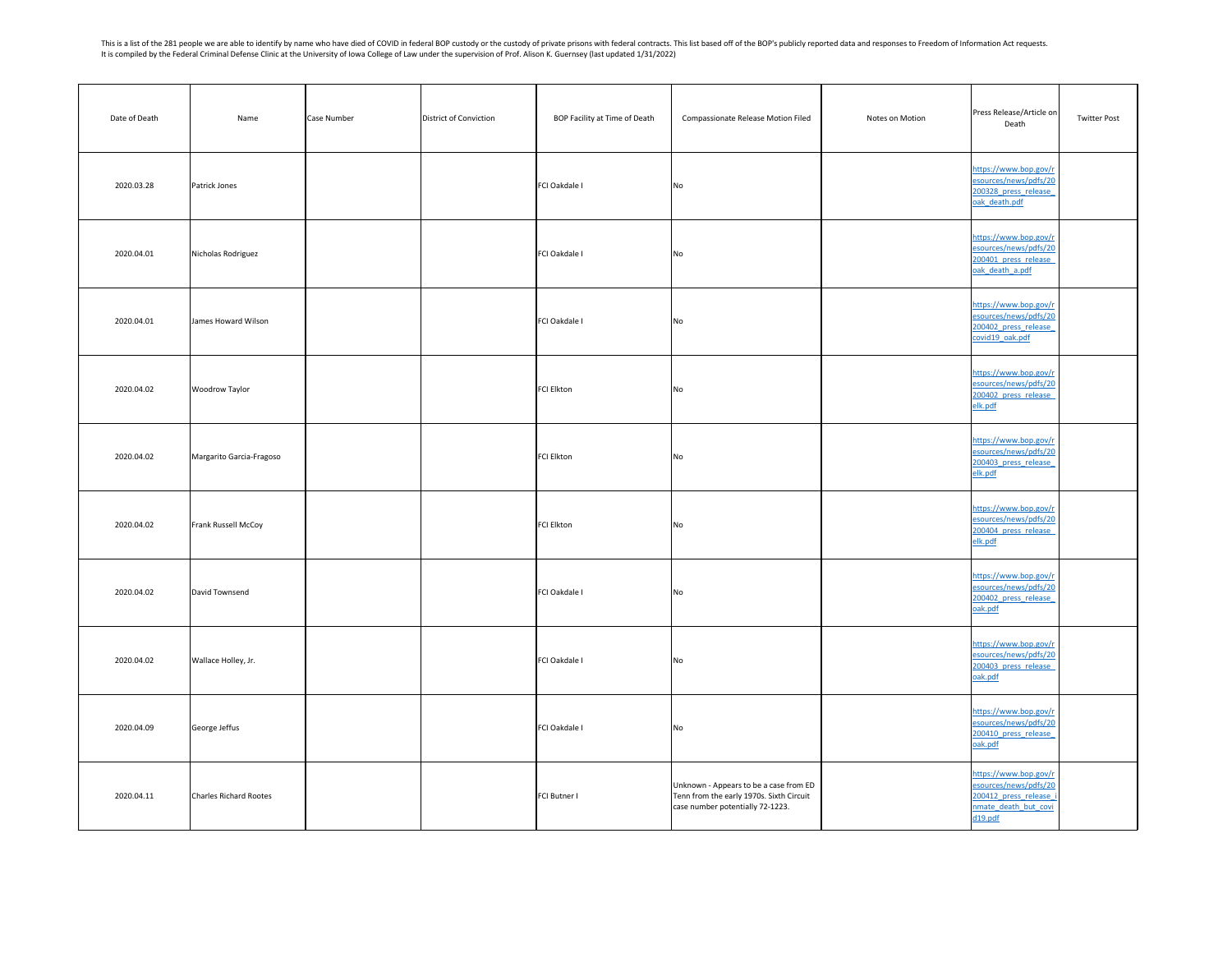This is a list of the 281 people we are able to identify by name who have died of COVID in federal BOP custody or the custody of private prisons with federal contracts. This list based off of the BOP's publicly reported da It is compiled by the Federal Criminal Defense Clinic at the University of Iowa College of Law under the supervision of Prof. Alison K. Guernsey (last updated 1/31/2022)

| Date of Death | Name                     | District of Conviction<br>Case Number | BOP Facility at Time of Death | <b>Compassionate Release Motion Filed</b>                                                                              | Press Release/Article on<br>Notes on Motion<br>Death                                                        | <b>Twitter Post</b> |
|---------------|--------------------------|---------------------------------------|-------------------------------|------------------------------------------------------------------------------------------------------------------------|-------------------------------------------------------------------------------------------------------------|---------------------|
| 2020.03.28    | Patrick Jones            |                                       | FCI Oakdale I                 | No                                                                                                                     | https://www.bop.gov/r<br>esources/news/pdfs/20<br>200328 press release<br>oak death.pdf                     |                     |
| 2020.04.01    | Nicholas Rodriguez       |                                       | FCI Oakdale I                 | No                                                                                                                     | https://www.bop.gov/r<br>esources/news/pdfs/20<br>200401 press release<br>oak death a.pdf                   |                     |
| 2020.04.01    | James Howard Wilson      |                                       | FCI Oakdale I                 | No                                                                                                                     | https://www.bop.gov/r<br>esources/news/pdfs/20<br>200402 press release<br>covid19 oak.pdf                   |                     |
| 2020.04.02    | <b>Woodrow Taylor</b>    |                                       | FCI Elkton                    | No                                                                                                                     | https://www.bop.gov/r<br>esources/news/pdfs/20<br>200402 press release<br>elk.pdf                           |                     |
| 2020.04.02    | Margarito Garcia-Fragoso |                                       | FCI Elkton                    | No                                                                                                                     | https://www.bop.gov/r<br>esources/news/pdfs/20<br>200403 press release<br>elk.pdf                           |                     |
| 2020.04.02    | Frank Russell McCoy      |                                       | FCI Elkton                    | No                                                                                                                     | https://www.bop.gov/r<br>esources/news/pdfs/20<br>200404 press release<br>elk.pdf                           |                     |
| 2020.04.02    | David Townsend           |                                       | FCI Oakdale I                 | No                                                                                                                     | https://www.bop.gov/r<br>esources/news/pdfs/20<br>200402 press release<br>oak.pdf                           |                     |
| 2020.04.02    | Wallace Holley, Jr.      |                                       | FCI Oakdale I                 | No                                                                                                                     | https://www.bop.gov/r<br>esources/news/pdfs/20<br>200403 press release<br>oak.pdf                           |                     |
| 2020.04.09    | George Jeffus            |                                       | FCI Oakdale I                 | No                                                                                                                     | https://www.bop.gov/r<br>esources/news/pdfs/20<br>200410 press release<br>oak.pdf                           |                     |
| 2020.04.11    | Charles Richard Rootes   |                                       | FCI Butner I                  | Unknown - Appears to be a case from ED<br>Tenn from the early 1970s. Sixth Circuit<br>case number potentially 72-1223. | https://www.bop.gov/r<br>esources/news/pdfs/20<br>200412 press release i<br>nmate death but covi<br>d19.pdf |                     |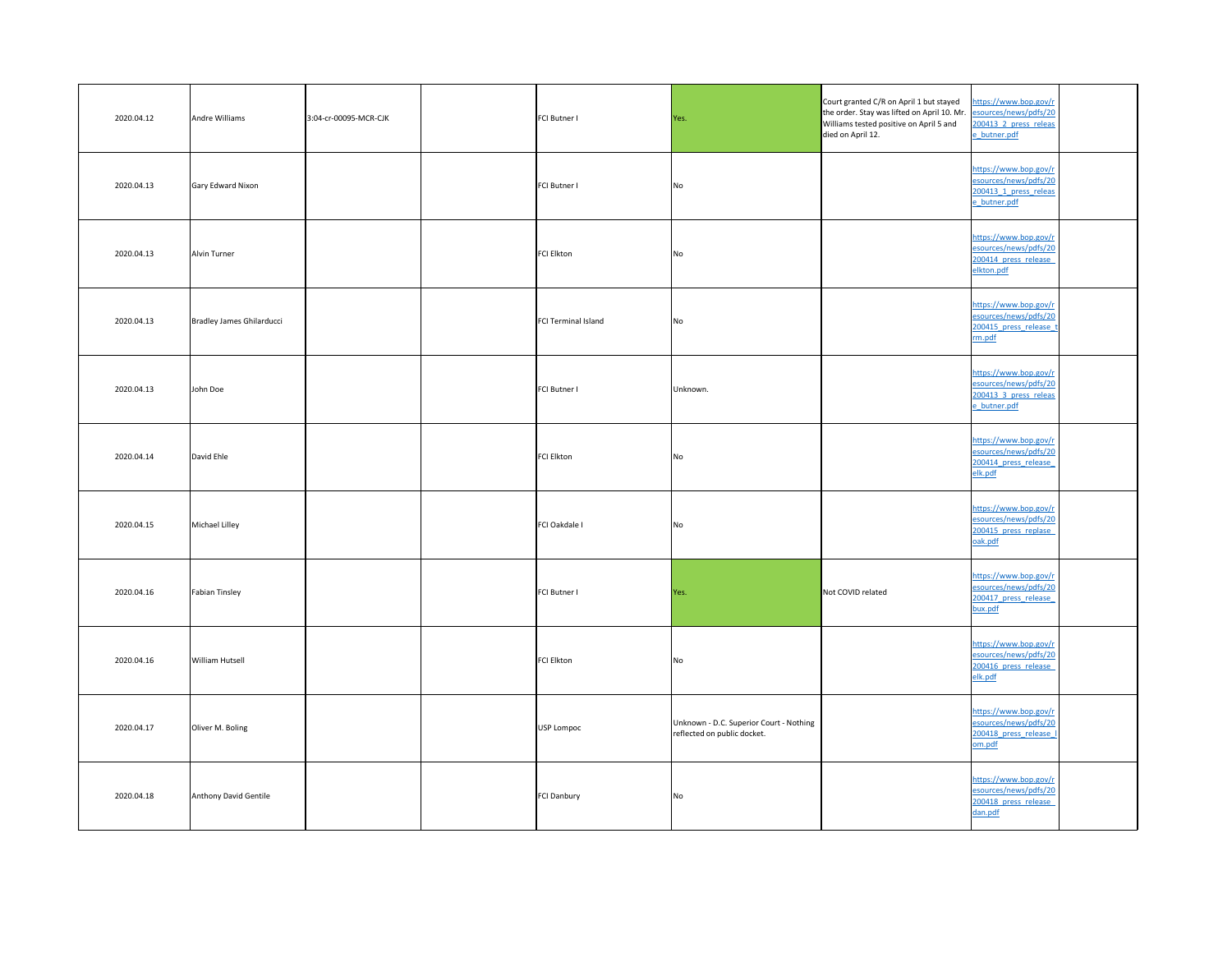| 2020.04.12 | Andre Williams            | 3:04-cr-00095-MCR-CJK | FCI Butner I        | Yes.                                                                   | Court granted C/R on April 1 but stayed<br>the order. Stay was lifted on April 10. Mr. esources/news/pdfs/20<br>Williams tested positive on April 5 and<br>died on April 12. | https://www.bop.gov/r<br>200413 2 press releas<br>e butner.pdf                          |
|------------|---------------------------|-----------------------|---------------------|------------------------------------------------------------------------|------------------------------------------------------------------------------------------------------------------------------------------------------------------------------|-----------------------------------------------------------------------------------------|
| 2020.04.13 | Gary Edward Nixon         |                       | FCI Butner I        | <b>No</b>                                                              |                                                                                                                                                                              | https://www.bop.gov/r<br>esources/news/pdfs/20<br>200413 1 press releas<br>e butner.pdf |
| 2020.04.13 | Alvin Turner              |                       | FCI Elkton          | <b>No</b>                                                              |                                                                                                                                                                              | https://www.bop.gov/r<br>esources/news/pdfs/20<br>200414 press release<br>elkton.pdf    |
| 2020.04.13 | Bradley James Ghilarducci |                       | FCI Terminal Island | <b>No</b>                                                              |                                                                                                                                                                              | https://www.bop.gov/r<br>esources/news/pdfs/20<br>200415 press release t<br>rm.pdf      |
| 2020.04.13 | John Doe                  |                       | <b>FCI Butner I</b> | Unknown.                                                               |                                                                                                                                                                              | https://www.bop.gov/r<br>esources/news/pdfs/20<br>200413 3 press releas<br>e butner.pdf |
| 2020.04.14 | David Ehle                |                       | FCI Elkton          | <b>No</b>                                                              |                                                                                                                                                                              | https://www.bop.gov/r<br>esources/news/pdfs/20<br>200414 press release<br>elk.pdf       |
| 2020.04.15 | Michael Lilley            |                       | FCI Oakdale I       | <b>No</b>                                                              |                                                                                                                                                                              | https://www.bop.gov/r<br>esources/news/pdfs/20<br>200415 press replase<br>oak.pdf       |
| 2020.04.16 | Fabian Tinsley            |                       | FCI Butner I        | Yes.                                                                   | Not COVID related                                                                                                                                                            | https://www.bop.gov/r<br>esources/news/pdfs/20<br>200417 press release<br>bux.pdf       |
| 2020.04.16 | <b>William Hutsell</b>    |                       | FCI Elkton          | <b>No</b>                                                              |                                                                                                                                                                              | https://www.bop.gov/r<br>esources/news/pdfs/20<br>200416 press release<br>elk.pdf       |
| 2020.04.17 | Oliver M. Boling          |                       | USP Lompoc          | Unknown - D.C. Superior Court - Nothing<br>reflected on public docket. |                                                                                                                                                                              | https://www.bop.gov/r<br>esources/news/pdfs/20<br>200418 press release<br>om.pdf        |
| 2020.04.18 | Anthony David Gentile     |                       | FCI Danbury         | <b>No</b>                                                              |                                                                                                                                                                              | https://www.bop.gov/r<br>esources/news/pdfs/20<br>200418 press release<br>dan.pdf       |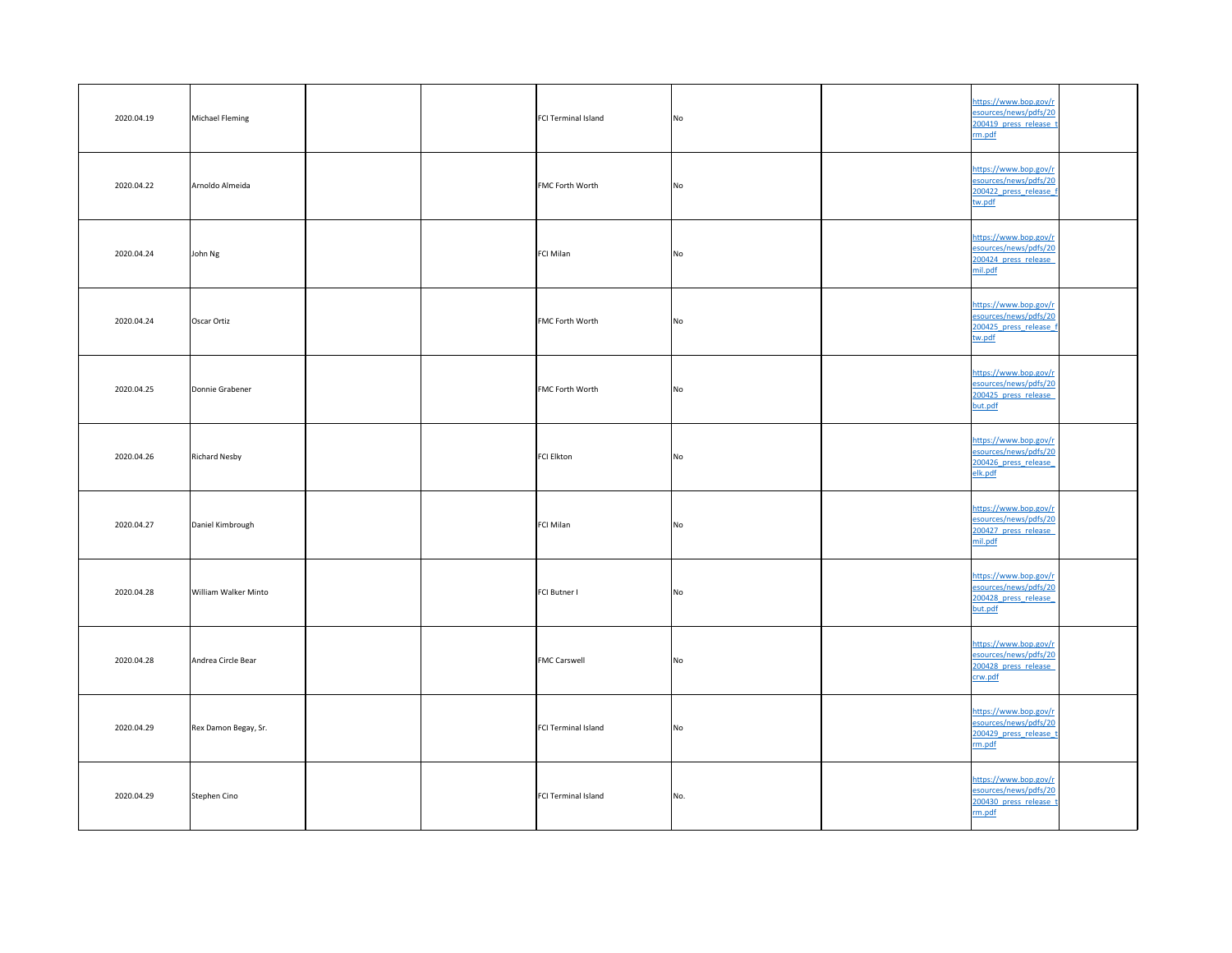| 2020.04.19 | Michael Fleming      | FCI Terminal Island        | No             | https://www.bop.gov/r<br>esources/news/pdfs/20<br>200419 press release t<br>rm.pdf |  |
|------------|----------------------|----------------------------|----------------|------------------------------------------------------------------------------------|--|
| 2020.04.22 | Arnoldo Almeida      | <b>FMC Forth Worth</b>     | No             | https://www.bop.gov/r<br>esources/news/pdfs/20<br>200422 press release f<br>tw.pdf |  |
| 2020.04.24 | John Ng              | FCI Milan                  | No             | https://www.bop.gov/r<br>esources/news/pdfs/20<br>200424 press release<br>mil.pdf  |  |
| 2020.04.24 | Oscar Ortiz          | FMC Forth Worth            | No             | https://www.bop.gov/r<br>esources/news/pdfs/20<br>200425 press release f<br>tw.pdf |  |
| 2020.04.25 | Donnie Grabener      | <b>FMC Forth Worth</b>     | <b>No</b>      | https://www.bop.gov/r<br>esources/news/pdfs/20<br>200425 press release<br>but.pdf  |  |
| 2020.04.26 | <b>Richard Nesby</b> | FCI Elkton                 | <b>No</b>      | https://www.bop.gov/r<br>esources/news/pdfs/20<br>200426 press release<br>elk.pdf  |  |
| 2020.04.27 | Daniel Kimbrough     | FCI Milan                  | No.            | https://www.bop.gov/r<br>esources/news/pdfs/20<br>200427 press release<br>mil.pdf  |  |
| 2020.04.28 | William Walker Minto | <b>FCI Butner I</b>        | N <sub>o</sub> | https://www.bop.gov/r<br>esources/news/pdfs/20<br>200428 press release<br>but.pdf  |  |
| 2020.04.28 | Andrea Circle Bear   | <b>FMC Carswell</b>        | No             | https://www.bop.gov/r<br>esources/news/pdfs/20<br>200428 press release<br>crw.pdf  |  |
| 2020.04.29 | Rex Damon Begay, Sr. | <b>FCI Terminal Island</b> | N <sub>O</sub> | https://www.bop.gov/r<br>esources/news/pdfs/20<br>200429 press release t<br>rm.pdf |  |
| 2020.04.29 | Stephen Cino         | FCI Terminal Island        | No.            | https://www.bop.gov/r<br>esources/news/pdfs/20<br>200430 press release t<br>rm.pdf |  |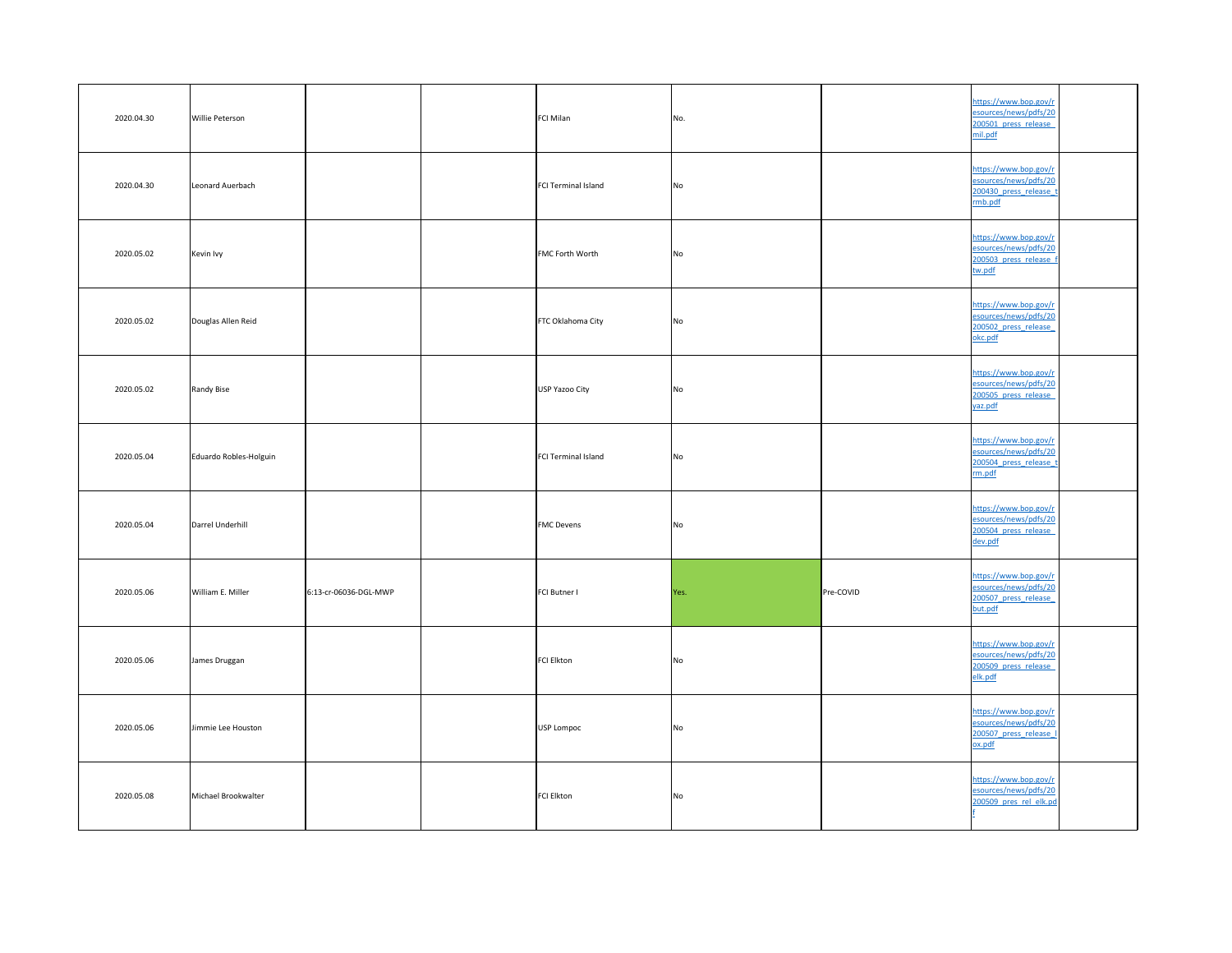| 2020.04.30 | <b>Willie Peterson</b> |                       | <b>FCI Milan</b>       | No.            |                  | https://www.bop.gov/r<br>esources/news/pdfs/20<br>200501 press release<br>mil.pdf   |  |
|------------|------------------------|-----------------------|------------------------|----------------|------------------|-------------------------------------------------------------------------------------|--|
| 2020.04.30 | Leonard Auerbach       |                       | FCI Terminal Island    | No             |                  | https://www.bop.gov/r<br>esources/news/pdfs/20<br>200430 press release t<br>rmb.pdf |  |
| 2020.05.02 | Kevin Ivy              |                       | <b>FMC Forth Worth</b> | No             |                  | https://www.bop.gov/r<br>esources/news/pdfs/20<br>200503 press release f<br>tw.pdf  |  |
| 2020.05.02 | Douglas Allen Reid     |                       | FTC Oklahoma City      | No             |                  | https://www.bop.gov/r<br>esources/news/pdfs/20<br>200502 press release<br>okc.pdf   |  |
| 2020.05.02 | Randy Bise             |                       | USP Yazoo City         | <b>No</b>      |                  | https://www.bop.gov/r<br>esources/news/pdfs/20<br>200505 press release<br>yaz.pdf   |  |
| 2020.05.04 | Eduardo Robles-Holguin |                       | FCI Terminal Island    | No             |                  | https://www.bop.gov/r<br>esources/news/pdfs/20<br>200504 press release t<br>rm.pdf  |  |
| 2020.05.04 | Darrel Underhill       |                       | <b>FMC Devens</b>      | No.            |                  | https://www.bop.gov/r<br>esources/news/pdfs/20<br>200504 press release<br>dev.pdf   |  |
| 2020.05.06 | William E. Miller      | 6:13-cr-06036-DGL-MWP | <b>FCI Butner I</b>    | Yes.           | <b>Pre-COVID</b> | https://www.bop.gov/r<br>esources/news/pdfs/20<br>200507 press release<br>but.pdf   |  |
| 2020.05.06 | James Druggan          |                       | FCI Elkton             | N <sub>o</sub> |                  | https://www.bop.gov/r<br>esources/news/pdfs/20<br>200509 press release<br>elk.pdf   |  |
| 2020.05.06 | Jimmie Lee Houston     |                       | USP Lompoc             | No             |                  | https://www.bop.gov/r<br>esources/news/pdfs/20<br>200507 press release I<br>ox.pdf  |  |
| 2020.05.08 | Michael Brookwalter    |                       | FCI Elkton             | <b>No</b>      |                  | https://www.bop.gov/r<br>esources/news/pdfs/20<br>200509 pres rel elk.pd            |  |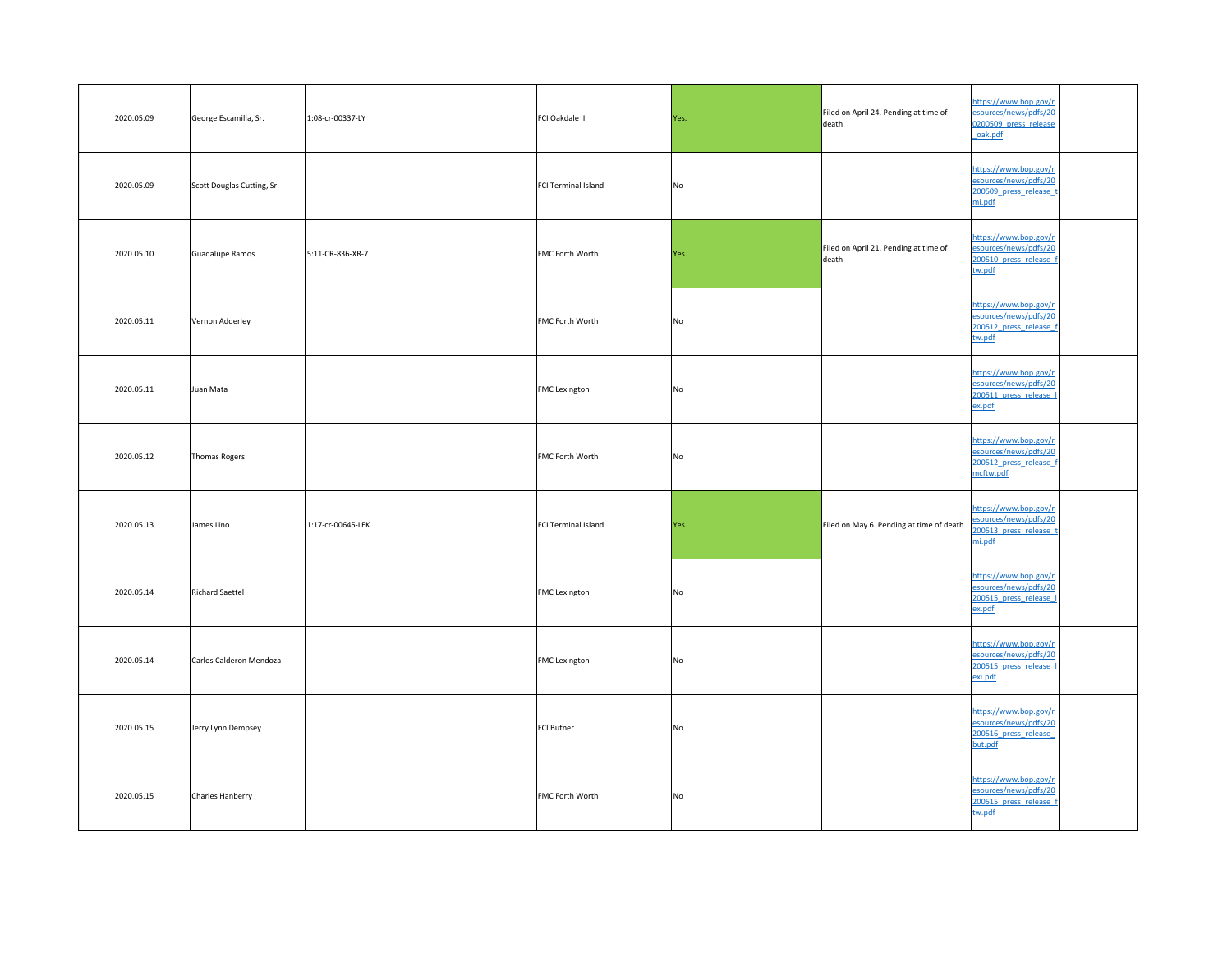| 2020.05.09 | George Escamilla, Sr.      | 1:08-cr-00337-LY  | FCI Oakdale II         | Yes.      | Filed on April 24. Pending at time of<br>death. | https://www.bop.gov/r<br>esources/news/pdfs/20<br>0200509 press release<br>oak.pdf      |
|------------|----------------------------|-------------------|------------------------|-----------|-------------------------------------------------|-----------------------------------------------------------------------------------------|
| 2020.05.09 | Scott Douglas Cutting, Sr. |                   | FCI Terminal Island    | <b>No</b> |                                                 | https://www.bop.gov/r<br>esources/news/pdfs/20<br>200509 press release<br>mi.pdf        |
| 2020.05.10 | Guadalupe Ramos            | 5:11-CR-836-XR-7  | <b>FMC Forth Worth</b> | Yes.      | Filed on April 21. Pending at time of<br>death. | https://www.bop.gov/r<br>esources/news/pdfs/20<br>200510 press release f<br>tw.pdf      |
| 2020.05.11 | Vernon Adderley            |                   | <b>FMC Forth Worth</b> | No        |                                                 | https://www.bop.gov/r<br>esources/news/pdfs/20<br>200512 press release f<br>tw.pdf      |
| 2020.05.11 | Juan Mata                  |                   | <b>FMC</b> Lexington   | No        |                                                 | https://www.bop.gov/r<br>esources/news/pdfs/20<br>200511 press release<br><u>ex.pdf</u> |
| 2020.05.12 | Thomas Rogers              |                   | <b>FMC Forth Worth</b> | No        |                                                 | https://www.bop.gov/r<br>esources/news/pdfs/20<br>200512 press release f<br>mcftw.pdf   |
| 2020.05.13 | James Lino                 | 1:17-cr-00645-LEK | FCI Terminal Island    | Yes.      | Filed on May 6. Pending at time of death        | https://www.bop.gov/r<br>esources/news/pdfs/20<br>200513 press release t<br>mi.pdf      |
| 2020.05.14 | <b>Richard Saettel</b>     |                   | <b>FMC</b> Lexington   | No        |                                                 | https://www.bop.gov/r<br>esources/news/pdfs/20<br>200515 press release I<br>ex.pdf      |
| 2020.05.14 | Carlos Calderon Mendoza    |                   | <b>FMC Lexington</b>   | No        |                                                 | https://www.bop.gov/r<br>esources/news/pdfs/20<br>200515 press release<br>exi.pdf       |
| 2020.05.15 | Jerry Lynn Dempsey         |                   | <b>FCI Butner I</b>    | <b>No</b> |                                                 | https://www.bop.gov/r<br>esources/news/pdfs/20<br>200516 press release<br>but.pdf       |
| 2020.05.15 | Charles Hanberry           |                   | <b>FMC Forth Worth</b> | No        |                                                 | https://www.bop.gov/r<br>esources/news/pdfs/20<br>200515 press release f<br>tw.pdf      |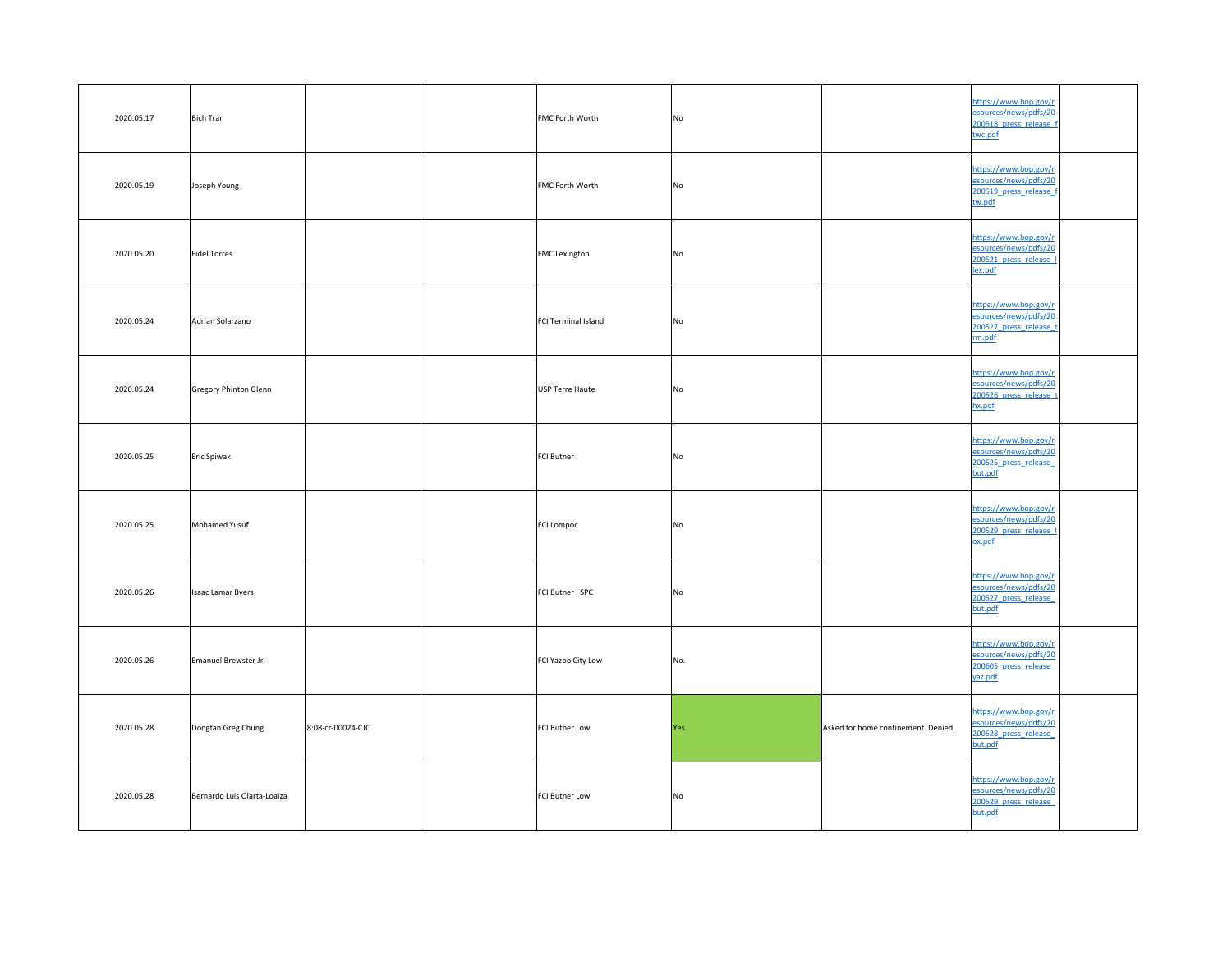| 2020.05.17 | <b>Bich Tran</b>            |                   | <b>FMC Forth Worth</b> | No             |                                     | https://www.bop.gov/r<br>esources/news/pdfs/20<br>200518 press release f<br>twc.pdf |  |
|------------|-----------------------------|-------------------|------------------------|----------------|-------------------------------------|-------------------------------------------------------------------------------------|--|
| 2020.05.19 | Joseph Young                |                   | <b>FMC Forth Worth</b> | <b>No</b>      |                                     | https://www.bop.gov/r<br>esources/news/pdfs/20<br>200519 press release f<br>tw.pdf  |  |
| 2020.05.20 | Fidel Torres                |                   | <b>FMC</b> Lexington   | N <sub>o</sub> |                                     | https://www.bop.gov/r<br>esources/news/pdfs/20<br>200521 press release I<br>lex.pdf |  |
| 2020.05.24 | Adrian Solarzano            |                   | FCI Terminal Island    | N <sub>o</sub> |                                     | https://www.bop.gov/r<br>esources/news/pdfs/20<br>200527 press release t<br>rm.pdf  |  |
| 2020.05.24 | Gregory Phinton Glenn       |                   | USP Terre Haute        | No             |                                     | https://www.bop.gov/r<br>esources/news/pdfs/20<br>200526 press release t<br>hx.pdf  |  |
| 2020.05.25 | Eric Spiwak                 |                   | FCI Butner I           | No             |                                     | https://www.bop.gov/r<br>esources/news/pdfs/20<br>200525 press release<br>but.pdf   |  |
| 2020.05.25 | Mohamed Yusuf               |                   | FCI Lompoc             | No             |                                     | https://www.bop.gov/r<br>esources/news/pdfs/20<br>200529 press release I<br>ox.pdf  |  |
| 2020.05.26 | <b>Isaac Lamar Byers</b>    |                   | FCI Butner I SPC       | No             |                                     | https://www.bop.gov/r<br>esources/news/pdfs/20<br>200527 press release<br>but.pdf   |  |
| 2020.05.26 | Emanuel Brewster Jr.        |                   | FCI Yazoo City Low     | No.            |                                     | https://www.bop.gov/r<br>esources/news/pdfs/20<br>200605 press release<br>yaz.pdf   |  |
| 2020.05.28 | Dongfan Greg Chung          | 8:08-cr-00024-CJC | FCI Butner Low         | Yes.           | Asked for home confinement. Denied. | https://www.bop.gov/r<br>esources/news/pdfs/20<br>200528 press release<br>but.pdf   |  |
| 2020.05.28 | Bernardo Luis Olarta-Loaiza |                   | FCI Butner Low         | No             |                                     | https://www.bop.gov/r<br>esources/news/pdfs/20<br>200529 press release<br>but.pdf   |  |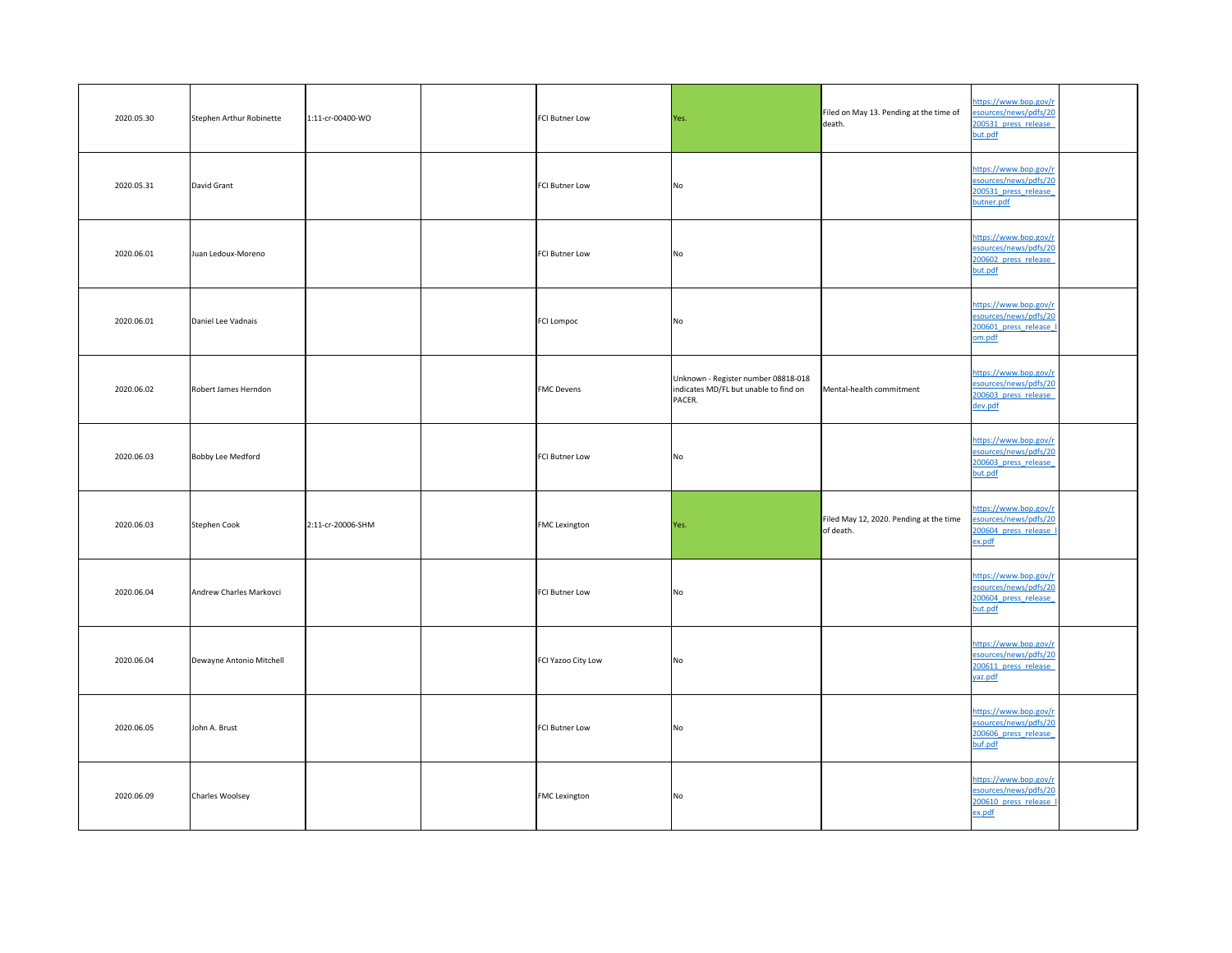| 2020.05.30 | Stephen Arthur Robinette | 1:11-cr-00400-WO  | <b>FCI Butner Low</b> | Yes.                                                                                   | Filed on May 13. Pending at the time of<br>death.    | https://www.bop.gov/r<br>esources/news/pdfs/20<br>200531 press release<br>but.pdf        |  |
|------------|--------------------------|-------------------|-----------------------|----------------------------------------------------------------------------------------|------------------------------------------------------|------------------------------------------------------------------------------------------|--|
| 2020.05.31 | David Grant              |                   | FCI Butner Low        | No                                                                                     |                                                      | https://www.bop.gov/r<br>esources/news/pdfs/20<br>200531 press release<br>butner.pdf     |  |
| 2020.06.01 | Juan Ledoux-Moreno       |                   | <b>FCI Butner Low</b> | No                                                                                     |                                                      | https://www.bop.gov/r<br>esources/news/pdfs/20<br>200602 press release<br>but.pdf        |  |
| 2020.06.01 | Daniel Lee Vadnais       |                   | <b>FCI Lompoc</b>     | No                                                                                     |                                                      | https://www.bop.gov/r<br>esources/news/pdfs/20<br>200601 press release I<br>om.pdf       |  |
| 2020.06.02 | Robert James Herndon     |                   | <b>FMC</b> Devens     | Unknown - Register number 08818-018<br>indicates MD/FL but unable to find on<br>PACER. | Mental-health commitment                             | https://www.bop.gov/r<br>esources/news/pdfs/20<br>200603 press release<br><u>dev.pdf</u> |  |
| 2020.06.03 | Bobby Lee Medford        |                   | FCI Butner Low        | No                                                                                     |                                                      | https://www.bop.gov/r<br>esources/news/pdfs/20<br>200603 press release<br>but.pdf        |  |
| 2020.06.03 | Stephen Cook             | 2:11-cr-20006-SHM | <b>FMC</b> Lexington  | Yes.                                                                                   | Filed May 12, 2020. Pending at the time<br>of death. | https://www.bop.gov/r<br>esources/news/pdfs/20<br>200604 press release I<br>ex.pdf       |  |
| 2020.06.04 | Andrew Charles Markovci  |                   | FCI Butner Low        | No                                                                                     |                                                      | https://www.bop.gov/r<br>esources/news/pdfs/20<br>200604 press release<br>but.pdf        |  |
| 2020.06.04 | Dewayne Antonio Mitchell |                   | FCI Yazoo City Low    | No                                                                                     |                                                      | https://www.bop.gov/r<br>esources/news/pdfs/20<br>200611 press release<br>yaz.pdf        |  |
| 2020.06.05 | John A. Brust            |                   | <b>FCI Butner Low</b> | No                                                                                     |                                                      | https://www.bop.gov/r<br>esources/news/pdfs/20<br>200606 press release<br>buf.pdf        |  |
| 2020.06.09 | Charles Woolsey          |                   | <b>FMC</b> Lexington  | No                                                                                     |                                                      | https://www.bop.gov/r<br>esources/news/pdfs/20<br>200610 press release I<br>ex.pdf       |  |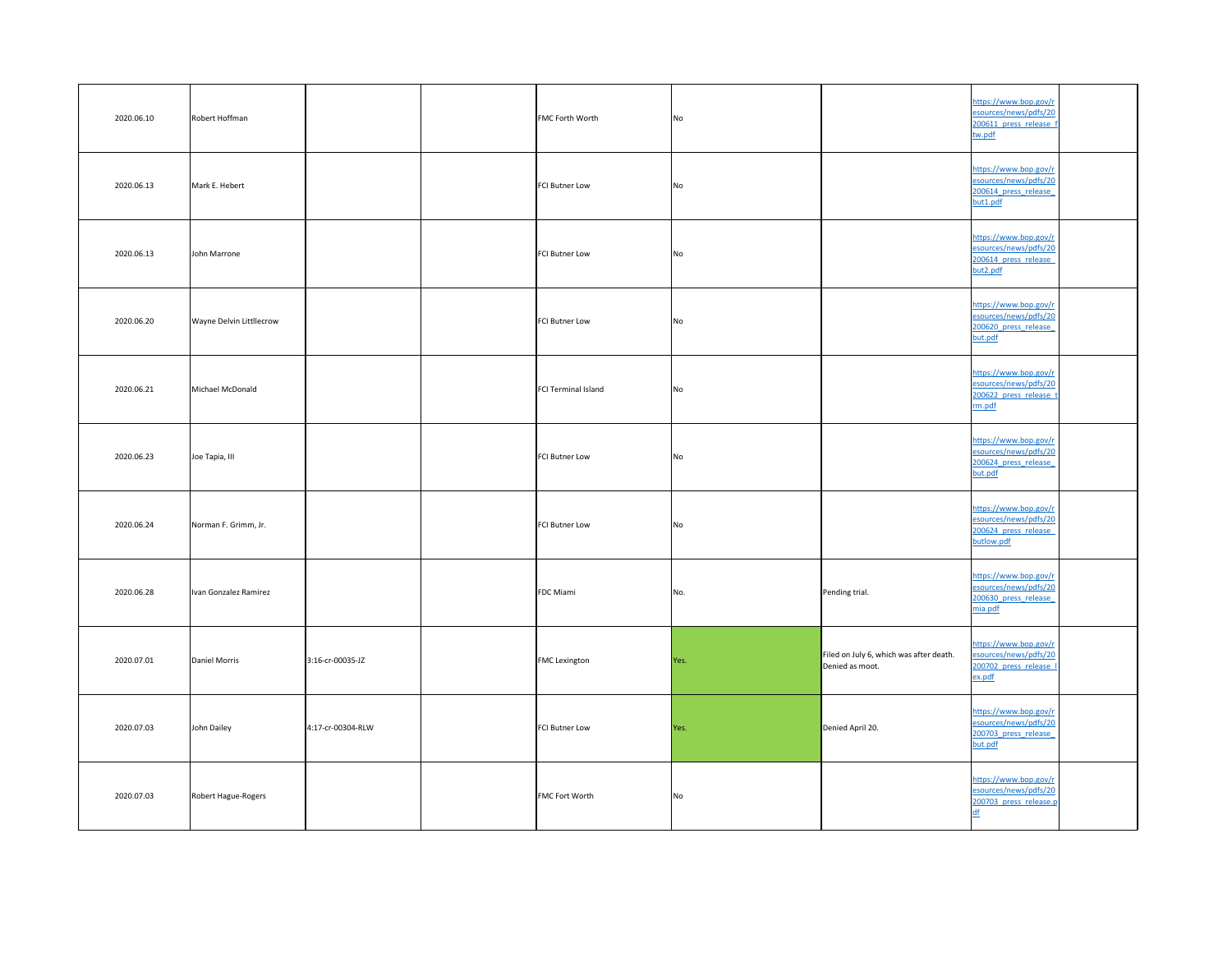| 2020.06.10 | Robert Hoffman                  |                   | <b>FMC Forth Worth</b> | No   |                                                            | https://www.bop.gov/r<br>esources/news/pdfs/20<br>200611 press release f<br>tw.pdf   |  |
|------------|---------------------------------|-------------------|------------------------|------|------------------------------------------------------------|--------------------------------------------------------------------------------------|--|
| 2020.06.13 | Mark E. Hebert                  |                   | FCI Butner Low         | No   |                                                            | https://www.bop.gov/r<br>esources/news/pdfs/20<br>200614 press release<br>but1.pdf   |  |
| 2020.06.13 | John Marrone                    |                   | <b>FCI Butner Low</b>  | No   |                                                            | https://www.bop.gov/r<br>esources/news/pdfs/20<br>200614 press release<br>but2.pdf   |  |
| 2020.06.20 | <b>Wayne Delvin Littllecrow</b> |                   | FCI Butner Low         | No   |                                                            | https://www.bop.gov/r<br>esources/news/pdfs/20<br>200620 press release<br>but.pdf    |  |
| 2020.06.21 | Michael McDonald                |                   | FCI Terminal Island    | No   |                                                            | https://www.bop.gov/r<br>esources/news/pdfs/20<br>200622 press release t<br>rm.pdf   |  |
| 2020.06.23 | Joe Tapia, III                  |                   | FCI Butner Low         | No   |                                                            | https://www.bop.gov/r<br>esources/news/pdfs/20<br>200624 press release<br>but.pdf    |  |
| 2020.06.24 | Norman F. Grimm, Jr.            |                   | FCI Butner Low         | No   |                                                            | https://www.bop.gov/r<br>esources/news/pdfs/20<br>200624 press release<br>butlow.pdf |  |
| 2020.06.28 | Ivan Gonzalez Ramirez           |                   | <b>FDC</b> Miami       | No.  | Pending trial.                                             | https://www.bop.gov/r<br>esources/news/pdfs/20<br>200630 press release<br>mia.pdf    |  |
| 2020.07.01 | Daniel Morris                   | 3:16-cr-00035-JZ  | <b>FMC</b> Lexington   | Yes. | Filed on July 6, which was after death.<br>Denied as moot. | https://www.bop.gov/r<br>esources/news/pdfs/20<br>200702 press release I<br>ex.pdf   |  |
| 2020.07.03 | John Dailey                     | 4:17-cr-00304-RLW | FCI Butner Low         | Yes. | Denied April 20.                                           | https://www.bop.gov/r<br>esources/news/pdfs/20<br>200703 press release<br>but.pdf    |  |
| 2020.07.03 | Robert Hague-Rogers             |                   | <b>FMC Fort Worth</b>  | No   |                                                            | https://www.bop.gov/r<br>esources/news/pdfs/20<br>200703 press release.p             |  |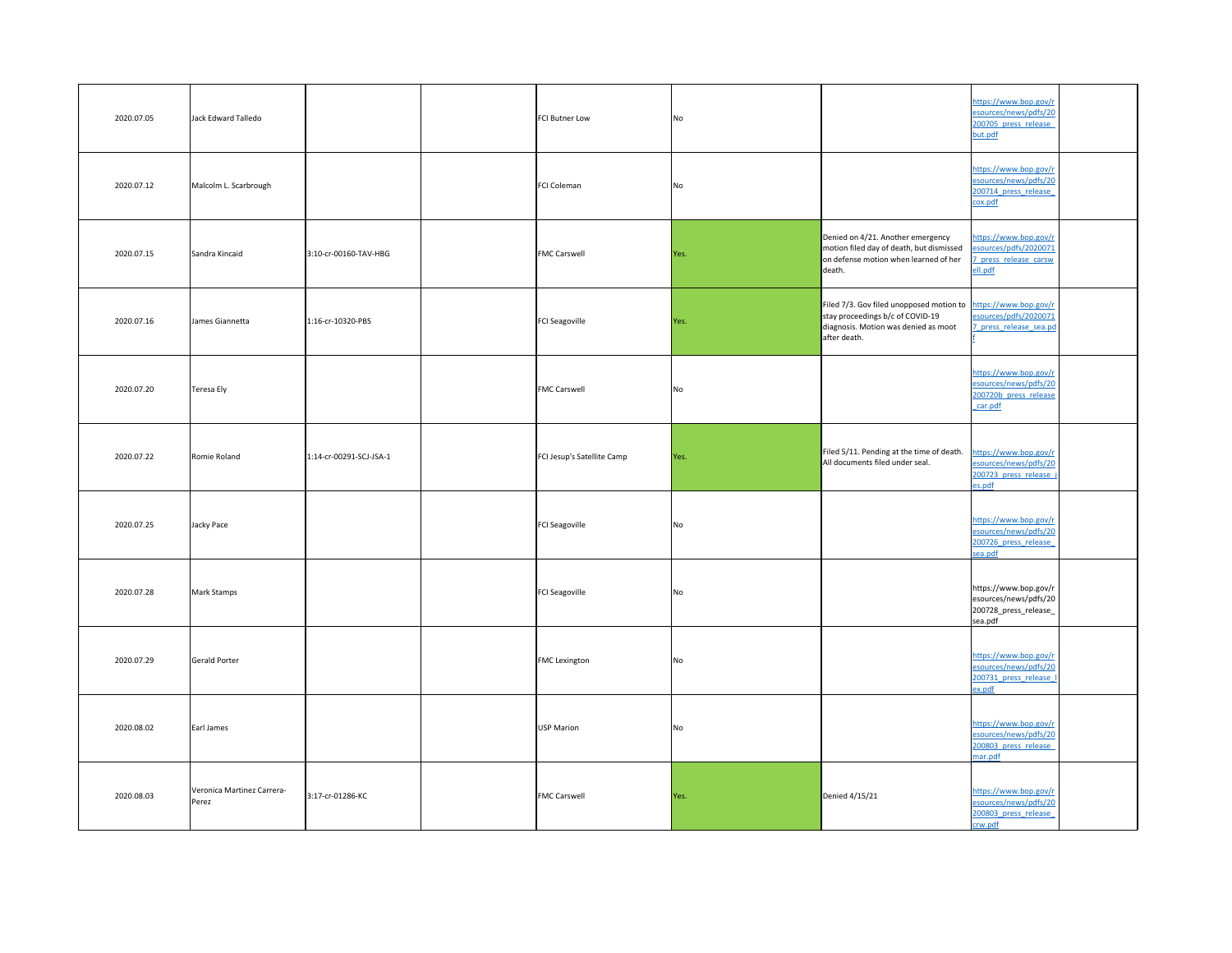| 2020.07.05 | Jack Edward Talledo                 |                         | <b>FCI Butner Low</b>      | No.       |                                                                                                                                                            | https://www.bop.gov/r<br>esources/news/pdfs/20<br>200705 press release<br>but.pdf  |  |
|------------|-------------------------------------|-------------------------|----------------------------|-----------|------------------------------------------------------------------------------------------------------------------------------------------------------------|------------------------------------------------------------------------------------|--|
| 2020.07.12 | Malcolm L. Scarbrough               |                         | FCI Coleman                | No.       |                                                                                                                                                            | https://www.bop.gov/r<br>esources/news/pdfs/20<br>200714 press release<br>cox.pdf  |  |
| 2020.07.15 | Sandra Kincaid                      | 3:10-cr-00160-TAV-HBG   | <b>FMC Carswell</b>        | Yes.      | Denied on 4/21. Another emergency<br>motion filed day of death, but dismissed<br>on defense motion when learned of her<br>death.                           | https://www.bop.gov/r<br>esources/pdfs/2020071<br>press release carsw<br>ell.pdf   |  |
| 2020.07.16 | James Giannetta                     | 1:16-cr-10320-PBS       | <b>FCI Seagoville</b>      | Yes.      | Filed 7/3. Gov filed unopposed motion to https://www.bop.gov/r<br>stay proceedings b/c of COVID-19<br>diagnosis. Motion was denied as moot<br>after death. | esources/pdfs/2020071<br>7 press release sea.pd                                    |  |
| 2020.07.20 | Teresa Ely                          |                         | <b>FMC Carswell</b>        | No        |                                                                                                                                                            | https://www.bop.gov/r<br>esources/news/pdfs/20<br>200720b press release<br>car.pdf |  |
| 2020.07.22 | Romie Roland                        | 1:14-cr-00291-SCJ-JSA-1 | FCI Jesup's Satellite Camp | Yes.      | Filed 5/11. Pending at the time of death.<br>All documents filed under seal.                                                                               | https://www.bop.gov/r<br>esources/news/pdfs/20<br>200723 press release j<br>es.pdf |  |
| 2020.07.25 | Jacky Pace                          |                         | <b>FCI Seagoville</b>      | No        |                                                                                                                                                            | https://www.bop.gov/r<br>esources/news/pdfs/20<br>200726 press release<br>sea.pdf  |  |
| 2020.07.28 | Mark Stamps                         |                         | FCI Seagoville             | No.       |                                                                                                                                                            | https://www.bop.gov/r<br>esources/news/pdfs/20<br>200728_press_release_<br>sea.pdf |  |
| 2020.07.29 | Gerald Porter                       |                         | <b>FMC</b> Lexington       | No        |                                                                                                                                                            | https://www.bop.gov/r<br>esources/news/pdfs/20<br>200731 press release I<br>ex.pdf |  |
| 2020.08.02 | Earl James                          |                         | USP Marion                 | <b>No</b> |                                                                                                                                                            | https://www.bop.gov/r<br>esources/news/pdfs/20<br>200803 press release<br>mar.pdf  |  |
| 2020.08.03 | Veronica Martinez Carrera-<br>Perez | 3:17-cr-01286-KC        | <b>FMC Carswell</b>        | Yes.      | Denied $4/15/21$                                                                                                                                           | https://www.bop.gov/r<br>esources/news/pdfs/20<br>200803 press release<br>crw.pdf  |  |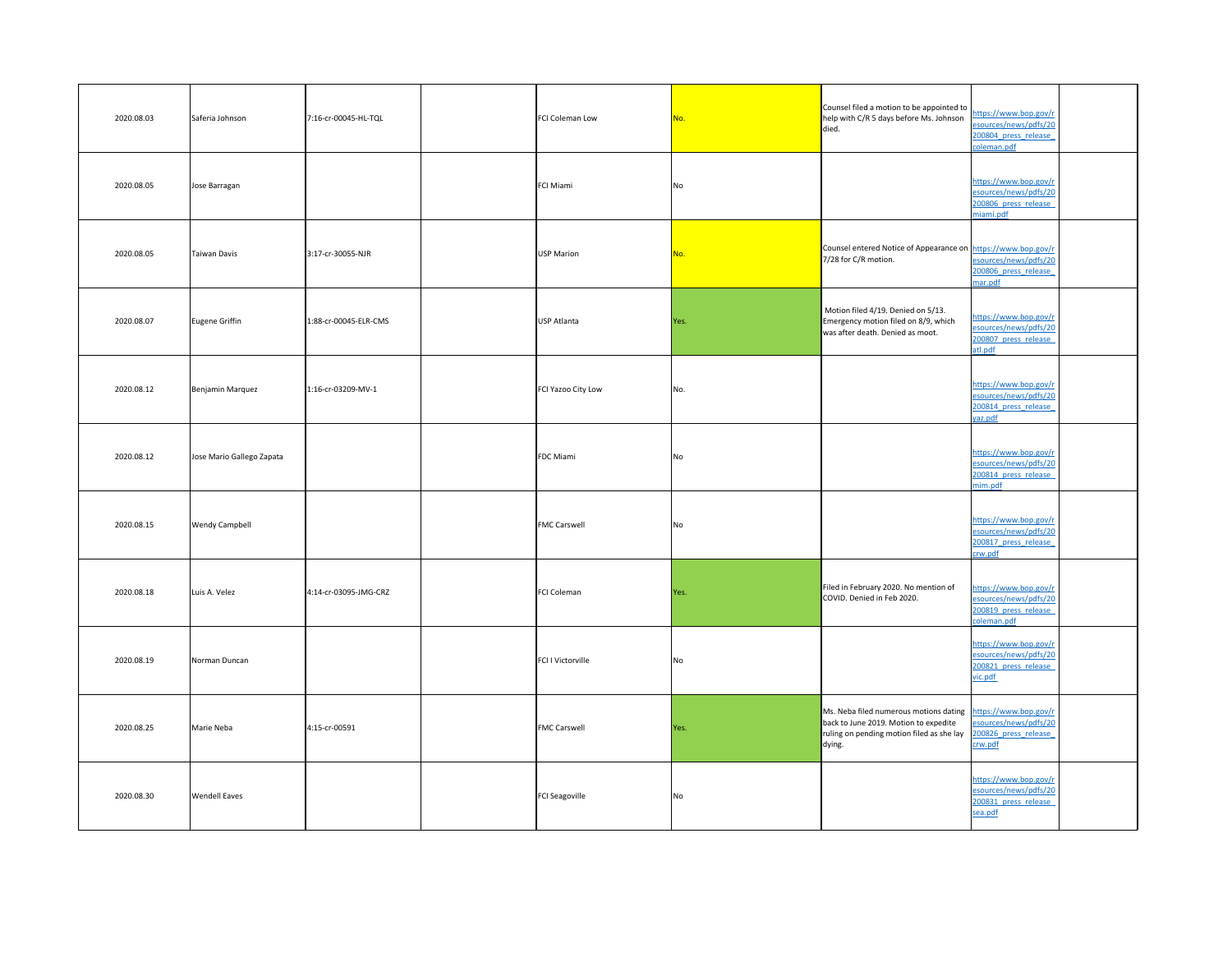| 2020.08.03 | Saferia Johnson           | 7:16-cr-00045-HL-TQL  | FCI Coleman Low     | No.            | Counsel filed a motion to be appointed to  <br>help with C/R 5 days before Ms. Johnson<br>died.                                                                                   | https://www.bop.gov/r<br>esources/news/pdfs/20<br>200804 press release<br>coleman.pdf |  |
|------------|---------------------------|-----------------------|---------------------|----------------|-----------------------------------------------------------------------------------------------------------------------------------------------------------------------------------|---------------------------------------------------------------------------------------|--|
| 2020.08.05 | Jose Barragan             |                       | FCI Miami           | No             |                                                                                                                                                                                   | https://www.bop.gov/r<br>esources/news/pdfs/20<br>200806 press release<br>miami.pdf   |  |
| 2020.08.05 | Taiwan Davis              | 3:17-cr-30055-NJR     | USP Marion          | No.            | Counsel entered Notice of Appearance on https://www.bop.gov/r<br>7/28 for C/R motion.                                                                                             | esources/news/pdfs/20<br>200806 press release<br>mar.pdf                              |  |
| 2020.08.07 | Eugene Griffin            | 1:88-cr-00045-ELR-CMS | USP Atlanta         | Yes.           | Motion filed 4/19. Denied on 5/13.<br>Emergency motion filed on 8/9, which<br>was after death. Denied as moot.                                                                    | https://www.bop.gov/r<br>esources/news/pdfs/20<br>200807 press release<br>atl.pdf     |  |
| 2020.08.12 | Benjamin Marquez          | 1:16-cr-03209-MV-1    | FCI Yazoo City Low  | No.            |                                                                                                                                                                                   | https://www.bop.gov/r<br>esources/news/pdfs/20<br>200814 press release<br>yaz.pdf     |  |
| 2020.08.12 | Jose Mario Gallego Zapata |                       | FDC Miami           | N <sub>o</sub> |                                                                                                                                                                                   | https://www.bop.gov/r<br>esources/news/pdfs/20<br>200814 press release<br>mim.pdf     |  |
| 2020.08.15 | <b>Wendy Campbell</b>     |                       | <b>FMC Carswell</b> | No             |                                                                                                                                                                                   | https://www.bop.gov/r<br>esources/news/pdfs/20<br>200817 press release<br>crw.pdf     |  |
| 2020.08.18 | Luis A. Velez             | 4:14-cr-03095-JMG-CRZ | FCI Coleman         | Yes.           | Filed in February 2020. No mention of<br>COVID. Denied in Feb 2020.                                                                                                               | https://www.bop.gov/r<br>esources/news/pdfs/20<br>200819 press release<br>coleman.pdf |  |
| 2020.08.19 | Norman Duncan             |                       | FCI I Victorville   | No             |                                                                                                                                                                                   | https://www.bop.gov/r<br>esources/news/pdfs/20<br>200821 press release<br>vic.pdf     |  |
| 2020.08.25 | Marie Neba                | $4:15$ -cr-00591      | <b>FMC Carswell</b> | Yes.           | Ms. Neba filed numerous motions dating https://www.bop.gov/r<br>back to June 2019. Motion to expedite<br>ruling on pending motion filed as she lay 200826 press release<br>dying. | esources/news/pdfs/20<br>crw.pdf                                                      |  |
| 2020.08.30 | <b>Wendell Eaves</b>      |                       | FCI Seagoville      | No             |                                                                                                                                                                                   | https://www.bop.gov/r<br>esources/news/pdfs/20<br>200831 press release<br>sea.pdf     |  |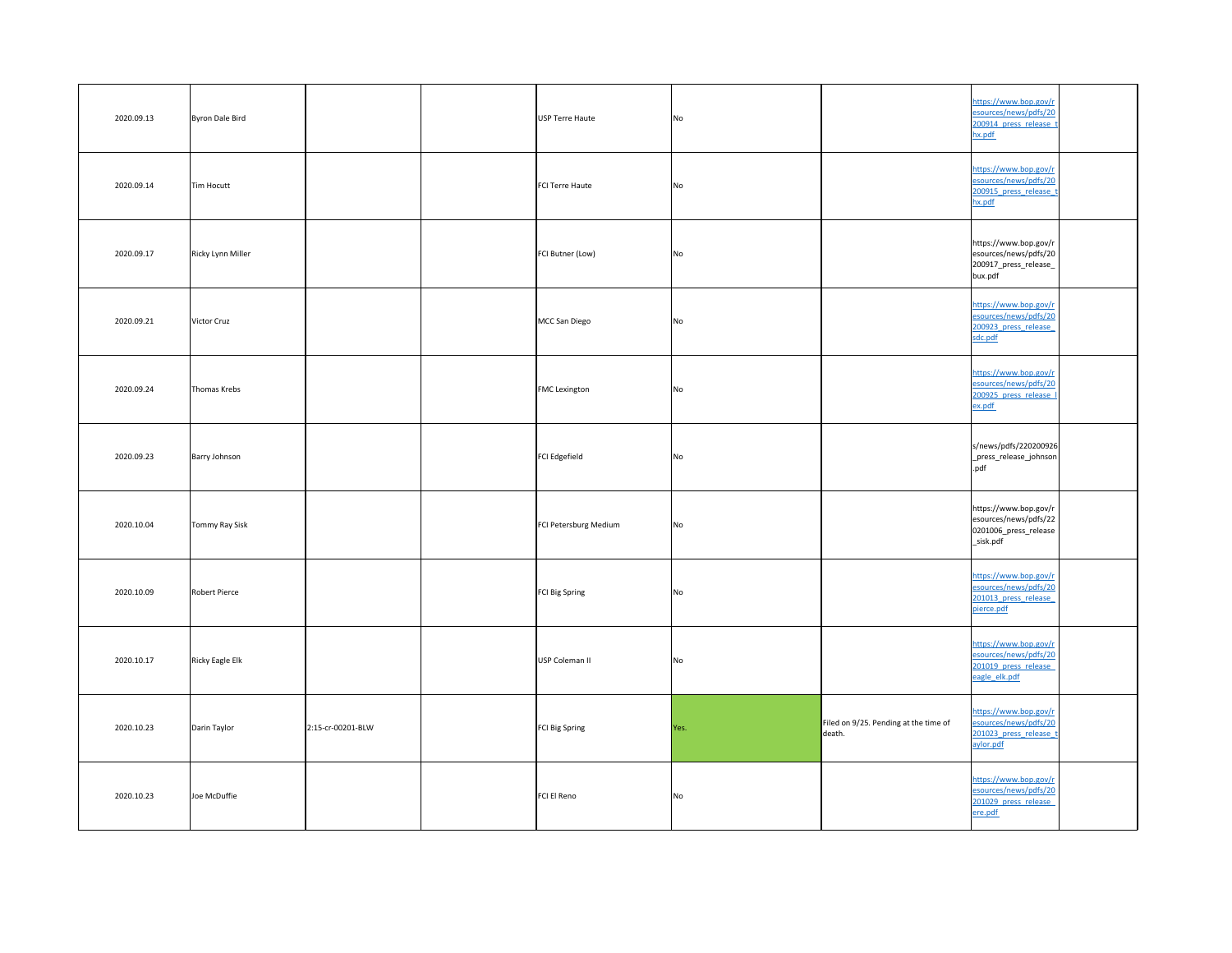| 2020.09.13 | Byron Dale Bird   |                   | USP Terre Haute       | No             |                                                    | https://www.bop.gov/r<br>esources/news/pdfs/20<br>200914 press release t<br>hx.pdf      |  |
|------------|-------------------|-------------------|-----------------------|----------------|----------------------------------------------------|-----------------------------------------------------------------------------------------|--|
| 2020.09.14 | Tim Hocutt        |                   | FCI Terre Haute       | N <sub>o</sub> |                                                    | https://www.bop.gov/r<br>esources/news/pdfs/20<br>200915 press release t<br>hx.pdf      |  |
| 2020.09.17 | Ricky Lynn Miller |                   | FCI Butner (Low)      | No             |                                                    | https://www.bop.gov/r<br>esources/news/pdfs/20<br>200917_press_release_<br>bux.pdf      |  |
| 2020.09.21 | Victor Cruz       |                   | MCC San Diego         | No             |                                                    | https://www.bop.gov/r<br>esources/news/pdfs/20<br>200923 press release<br>sdc.pdf       |  |
| 2020.09.24 | Thomas Krebs      |                   | <b>FMC</b> Lexington  | No             |                                                    | https://www.bop.gov/r<br>esources/news/pdfs/20<br>200925 press release I<br>ex.pdf      |  |
| 2020.09.23 | Barry Johnson     |                   | FCI Edgefield         | <b>No</b>      |                                                    | s/news/pdfs/220200926<br>_press_release_johnson<br>.pdf                                 |  |
| 2020.10.04 | Tommy Ray Sisk    |                   | FCI Petersburg Medium | No             |                                                    | https://www.bop.gov/r<br>esources/news/pdfs/22<br>0201006_press_release<br>_sisk.pdf    |  |
| 2020.10.09 | Robert Pierce     |                   | FCI Big Spring        | N <sub>o</sub> |                                                    | https://www.bop.gov/r<br>esources/news/pdfs/20<br>201013 press release<br>pierce.pdf    |  |
| 2020.10.17 | Ricky Eagle Elk   |                   | USP Coleman II        | N <sub>o</sub> |                                                    | https://www.bop.gov/r<br>esources/news/pdfs/20<br>201019 press release<br>eagle elk.pdf |  |
| 2020.10.23 | Darin Taylor      | 2:15-cr-00201-BLW | FCI Big Spring        | Yes.           | Filed on $9/25$ . Pending at the time of<br>death. | https://www.bop.gov/r<br>esources/news/pdfs/20<br>201023 press release t<br>aylor.pdf   |  |
| 2020.10.23 | Joe McDuffie      |                   | FCI El Reno           | No             |                                                    | https://www.bop.gov/r<br>esources/news/pdfs/20<br>201029 press release<br>ere.pdf       |  |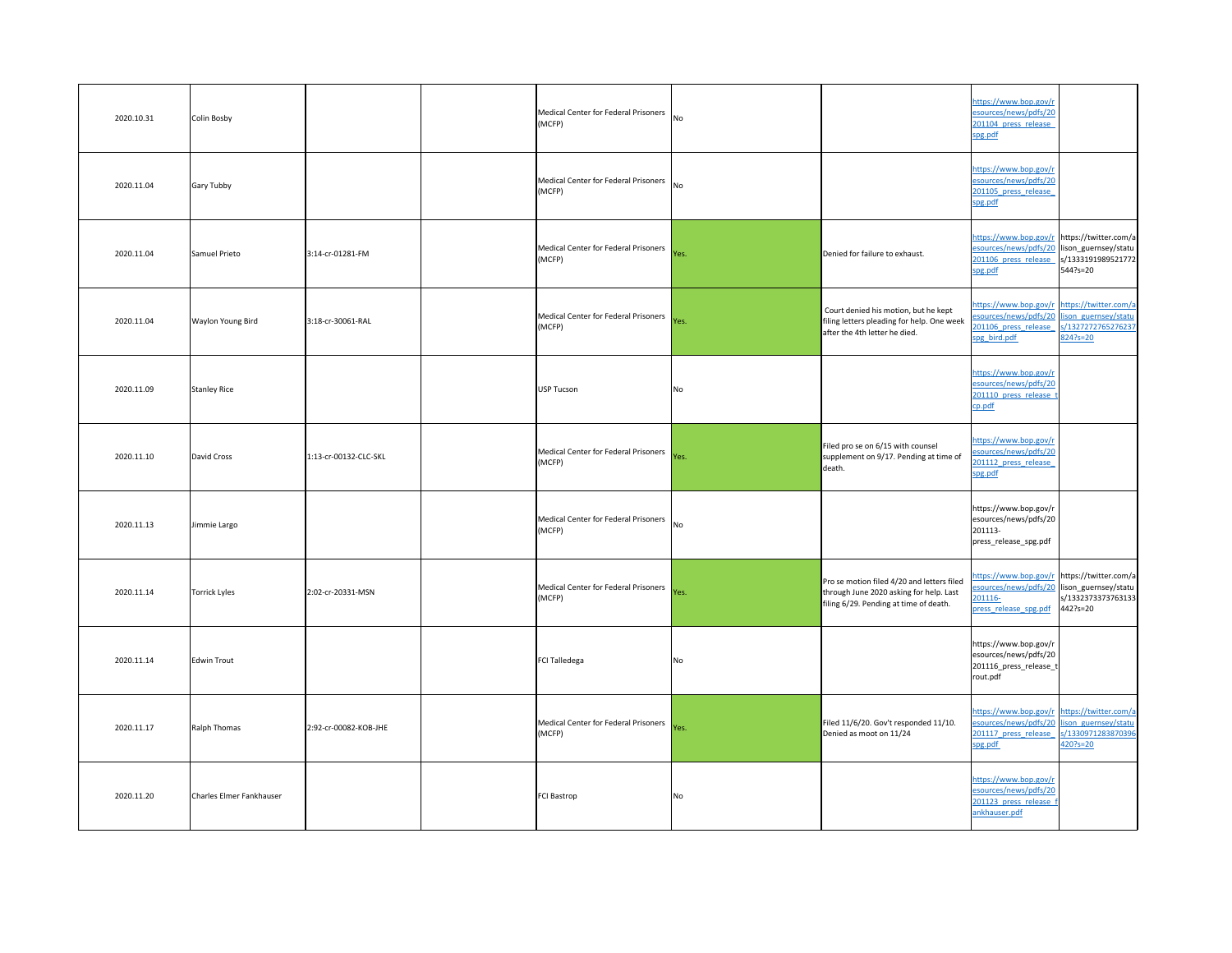| 2020.10.31 | Colin Bosby              |                       | Medical Center for Federal Prisoners No<br>(MCFP)   |                |                                                                                                                                 | https://www.bop.gov/r<br>esources/news/pdfs/20<br>201104 press release<br>spg.pdf                                                                  |                                    |
|------------|--------------------------|-----------------------|-----------------------------------------------------|----------------|---------------------------------------------------------------------------------------------------------------------------------|----------------------------------------------------------------------------------------------------------------------------------------------------|------------------------------------|
| 2020.11.04 | Gary Tubby               |                       | Medical Center for Federal Prisoners No<br>(MCFP)   |                |                                                                                                                                 | https://www.bop.gov/r<br>esources/news/pdfs/20<br>201105 press release<br>spg.pdf                                                                  |                                    |
| 2020.11.04 | Samuel Prieto            | 3:14-cr-01281-FM      | Medical Center for Federal Prisoners  <br>(MCFP)    | Yes.           | Denied for failure to exhaust.                                                                                                  | https://www.bop.gov/r https://twitter.com/a<br>esources/news/pdfs/20 lison_guernsey/statu  <br>201106 press release  s/1333191989521772<br>spg.pdf | $544?s = 20$                       |
| 2020.11.04 | <b>Waylon Young Bird</b> | 3:18-cr-30061-RAL     | Medical Center for Federal Prisoners  <br>(MCFP)    | Yes.           | Court denied his motion, but he kept<br>filing letters pleading for help. One week<br>after the 4th letter he died.             | https://www.bop.gov/r https://twitter.com/a<br>esources/news/pdfs/20 lison guernsey/statu<br>201106 press release<br>spg bird.pdf                  | s/1327272765276237<br>824?s=20     |
| 2020.11.09 | <b>Stanley Rice</b>      |                       | USP Tucson                                          | No             |                                                                                                                                 | https://www.bop.gov/r<br>esources/news/pdfs/20<br>201110 press release<br>cp.pdf                                                                   |                                    |
| 2020.11.10 | David Cross              | 1:13-cr-00132-CLC-SKL | Medical Center for Federal Prisoners  <br>(MCFP)    | Yes.           | Filed pro se on 6/15 with counsel<br>supplement on 9/17. Pending at time of<br>death.                                           | https://www.bop.gov/r<br>esources/news/pdfs/20<br>201112 press release<br>spg.pdf                                                                  |                                    |
| 2020.11.13 | Jimmie Largo             |                       | Medical Center for Federal Prisoners No<br>(MCFP)   |                |                                                                                                                                 | https://www.bop.gov/r<br>esources/news/pdfs/20<br>201113-<br>press_release_spg.pdf                                                                 |                                    |
| 2020.11.14 | Torrick Lyles            | 2:02-cr-20331-MSN     | Medical Center for Federal Prisoners Yes.<br>(MCFP) |                | Pro se motion filed 4/20 and letters filed<br>through June 2020 asking for help. Last<br>filing 6/29. Pending at time of death. | https://www.bop.gov/r https://twitter.com/a<br>esources/news/pdfs/20 lison_guernsey/statu  <br>201116-<br>press release spg.pdf                    | s/1332373373763133<br>$442$ ?s=20  |
| 2020.11.14 | Edwin Trout              |                       | FCI Talledega                                       | No             |                                                                                                                                 | https://www.bop.gov/r<br>esources/news/pdfs/20<br>201116_press_release_t<br>rout.pdf                                                               |                                    |
| 2020.11.17 | Ralph Thomas             | 2:92-cr-00082-KOB-JHE | Medical Center for Federal Prisoners Yes.<br>(MCFP) |                | Filed 11/6/20. Gov't responded 11/10.<br>Denied as moot on 11/24                                                                | https://www.bop.gov/r https://twitter.com/a<br>esources/news/pdfs/20 lison guernsey/statu<br>201117 press release<br>spg.pdf                       | s/1330971283870396<br>$420?s = 20$ |
| 2020.11.20 | Charles Elmer Fankhauser |                       | <b>FCI Bastrop</b>                                  | N <sub>O</sub> |                                                                                                                                 | https://www.bop.gov/r<br>esources/news/pdfs/20<br>201123 press release f<br>ankhauser.pdf                                                          |                                    |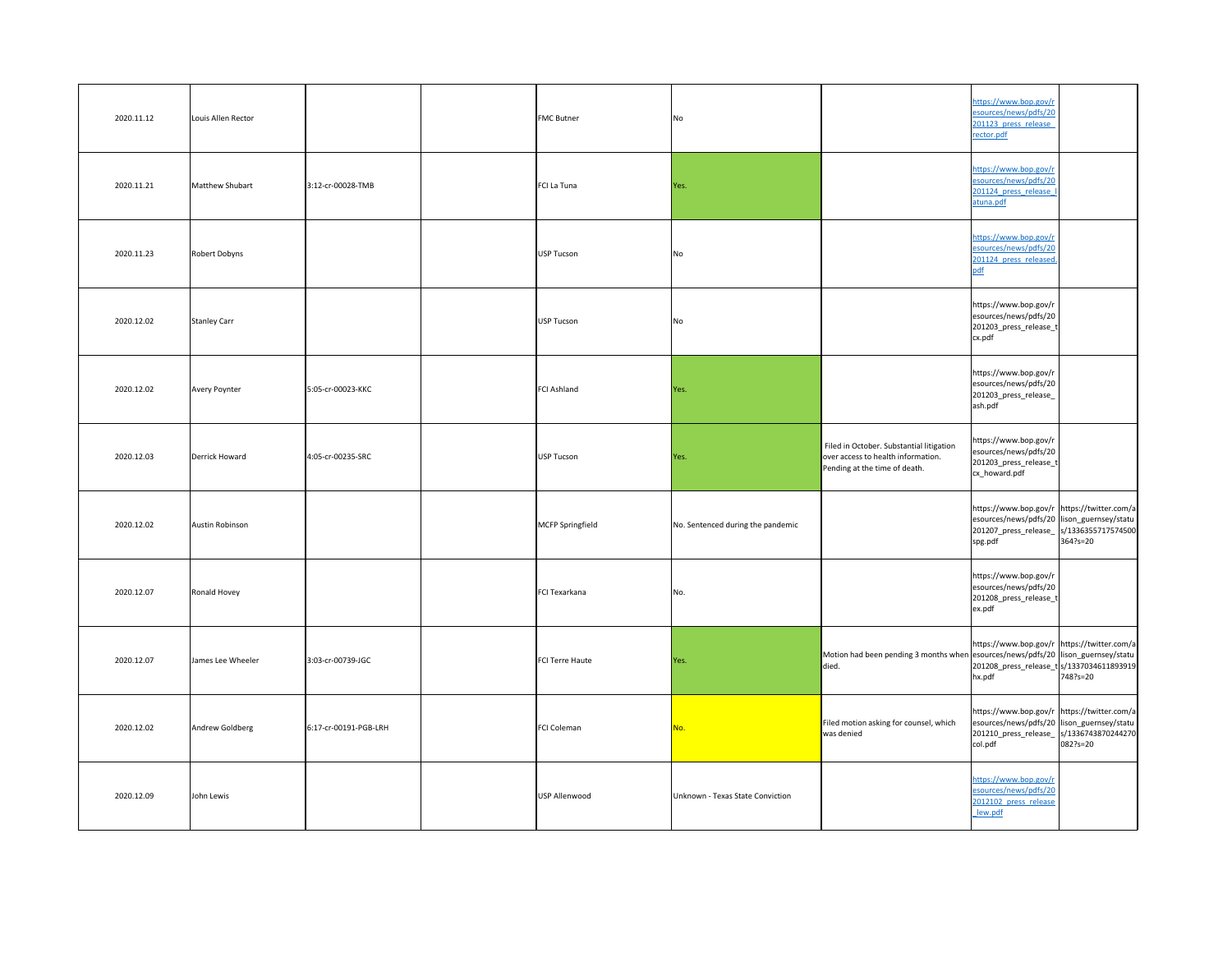| 2020.11.12 | Louis Allen Rector   |                       | <b>FMC Butner</b> | <b>No</b>                         |                                                                                                                 | https://www.bop.gov/r<br>esources/news/pdfs/20<br>201123 press release<br>rector.pdf                                                                             |  |
|------------|----------------------|-----------------------|-------------------|-----------------------------------|-----------------------------------------------------------------------------------------------------------------|------------------------------------------------------------------------------------------------------------------------------------------------------------------|--|
| 2020.11.21 | Matthew Shubart      | 3:12-cr-00028-TMB     | FCI La Tuna       | Yes.                              |                                                                                                                 | https://www.bop.gov/r<br>esources/news/pdfs/20<br>201124 press release<br>atuna.pdf                                                                              |  |
| 2020.11.23 | Robert Dobyns        |                       | USP Tucson        | No                                |                                                                                                                 | https://www.bop.gov/r<br>esources/news/pdfs/20<br>201124 press released.                                                                                         |  |
| 2020.12.02 | Stanley Carr         |                       | USP Tucson        | No                                |                                                                                                                 | https://www.bop.gov/r<br>esources/news/pdfs/20<br>201203_press_release_t<br>cx.pdf                                                                               |  |
| 2020.12.02 | <b>Avery Poynter</b> | 5:05-cr-00023-KKC     | FCI Ashland       | Yes.                              |                                                                                                                 | https://www.bop.gov/r<br>esources/news/pdfs/20<br>201203_press_release_<br>ash.pdf                                                                               |  |
| 2020.12.03 | Derrick Howard       | 4:05-cr-00235-SRC     | USP Tucson        | Yes.                              | Filed in October. Substantial litigation<br>over access to health information.<br>Pending at the time of death. | https://www.bop.gov/r<br>esources/news/pdfs/20<br>201203_press_release_t<br>cx_howard.pdf                                                                        |  |
| 2020.12.02 | Austin Robinson      |                       | MCFP Springfield  | No. Sentenced during the pandemic |                                                                                                                 | https://www.bop.gov/r https://twitter.com/a<br>esources/news/pdfs/20 lison_guernsey/statu  <br>201207_press_release_  s/1336355717574500 <br>364?s=20<br>spg.pdf |  |
| 2020.12.07 | Ronald Hovey         |                       | FCI Texarkana     | No.                               |                                                                                                                 | https://www.bop.gov/r<br>esources/news/pdfs/20<br>201208_press_release_t<br>ex.pdf                                                                               |  |
| 2020.12.07 | James Lee Wheeler    | 3:03-cr-00739-JGC     | FCI Terre Haute   | Yes.                              | Motion had been pending 3 months when esources/news/pdfs/20 lison_guernsey/statu  <br>died.                     | https://www.bop.gov/r https://twitter.com/a<br>201208_press_release_t s/1337034611893919 <br>hx.pdf<br>748?s=20                                                  |  |
| 2020.12.02 | Andrew Goldberg      | 6:17-cr-00191-PGB-LRH | FCI Coleman       | No.                               | Filed motion asking for counsel, which<br>was denied                                                            | https://www.bop.gov/r https://twitter.com/a<br>esources/news/pdfs/20 lison_guernsey/statu  <br>201210_press_release_  s/1336743870244270 <br>082?s=20<br>col.pdf |  |
| 2020.12.09 | John Lewis           |                       | USP Allenwood     | Unknown - Texas State Conviction  |                                                                                                                 | https://www.bop.gov/r<br>esources/news/pdfs/20<br>2012102 press release<br>lew.pdf                                                                               |  |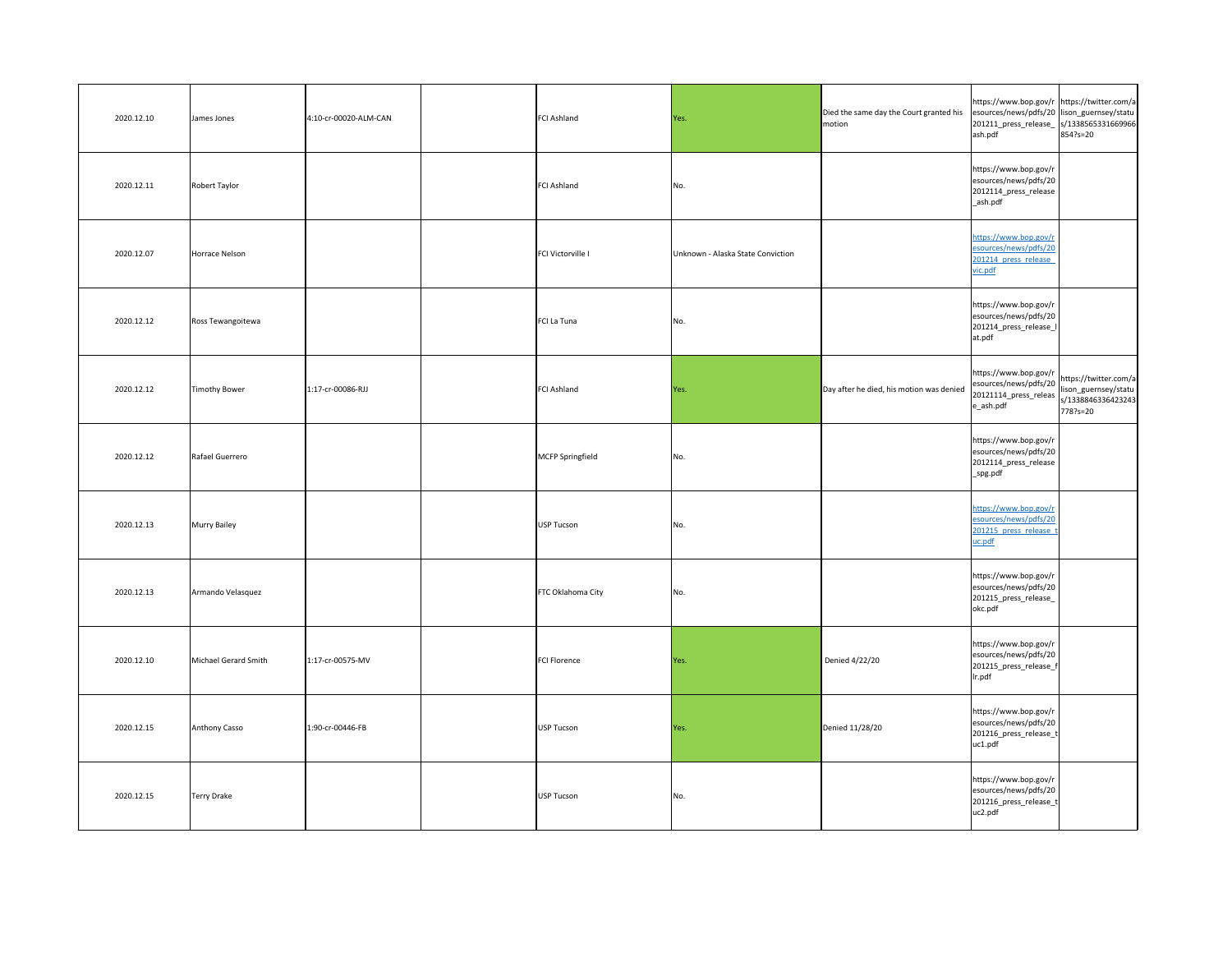| 2020.12.10 | James Jones          | 4:10-cr-00020-ALM-CAN | <b>FCI Ashland</b> | Yes.                              | Died the same day the Court granted his<br>motion | https://www.bop.gov/r https://twitter.com/a<br>esources/news/pdfs/20 lison_guernsey/statu  <br>201211_press_release_  s/1338565331669966 <br>ash.pdf | 854?s=20 |
|------------|----------------------|-----------------------|--------------------|-----------------------------------|---------------------------------------------------|------------------------------------------------------------------------------------------------------------------------------------------------------|----------|
| 2020.12.11 | Robert Taylor        |                       | <b>FCI Ashland</b> | No.                               |                                                   | https://www.bop.gov/r<br>esources/news/pdfs/20<br>2012114_press_release<br>_ash.pdf                                                                  |          |
| 2020.12.07 | Horrace Nelson       |                       | FCI Victorville I  | Unknown - Alaska State Conviction |                                                   | https://www.bop.gov/r<br>esources/news/pdfs/20<br>201214 press release<br>vic.pdf                                                                    |          |
| 2020.12.12 | Ross Tewangoitewa    |                       | FCI La Tuna        | No.                               |                                                   | https://www.bop.gov/r<br>esources/news/pdfs/20<br>201214_press_release_l<br>at.pdf                                                                   |          |
| 2020.12.12 | Timothy Bower        | 1:17-cr-00086-RJJ     | <b>FCI Ashland</b> | Yes.                              | Day after he died, his motion was denied          | https://www.bop.gov/r<br>esources/news/pdfs/20<br>20121114_press_releas s/1338846336423243<br>$e$ _ash.pdf                                           | 778?s=20 |
| 2020.12.12 | Rafael Guerrero      |                       | MCFP Springfield   | No.                               |                                                   | https://www.bop.gov/r<br>esources/news/pdfs/20<br>2012114_press_release<br>_spg.pdf                                                                  |          |
| 2020.12.13 | Murry Bailey         |                       | USP Tucson         | No.                               |                                                   | https://www.bop.gov/r<br>esources/news/pdfs/20<br>201215 press release t<br>uc.pdf                                                                   |          |
| 2020.12.13 | Armando Velasquez    |                       | FTC Oklahoma City  | No.                               |                                                   | https://www.bop.gov/r<br>esources/news/pdfs/20<br>201215_press_release_<br>okc.pdf                                                                   |          |
| 2020.12.10 | Michael Gerard Smith | 1:17-cr-00575-MV      | FCI Florence       | Yes.                              | Denied 4/22/20                                    | https://www.bop.gov/r<br>esources/news/pdfs/20<br>201215_press_release_f<br>Ir.pdf                                                                   |          |
| 2020.12.15 | Anthony Casso        | 1:90-cr-00446-FB      | USP Tucson         | Yes.                              | Denied 11/28/20                                   | https://www.bop.gov/r<br>esources/news/pdfs/20<br>201216_press_release_t<br>uc1.pdf                                                                  |          |
| 2020.12.15 | Terry Drake          |                       | USP Tucson         | No.                               |                                                   | https://www.bop.gov/r<br>esources/news/pdfs/20<br>201216_press_release_t<br>uc2.pdf                                                                  |          |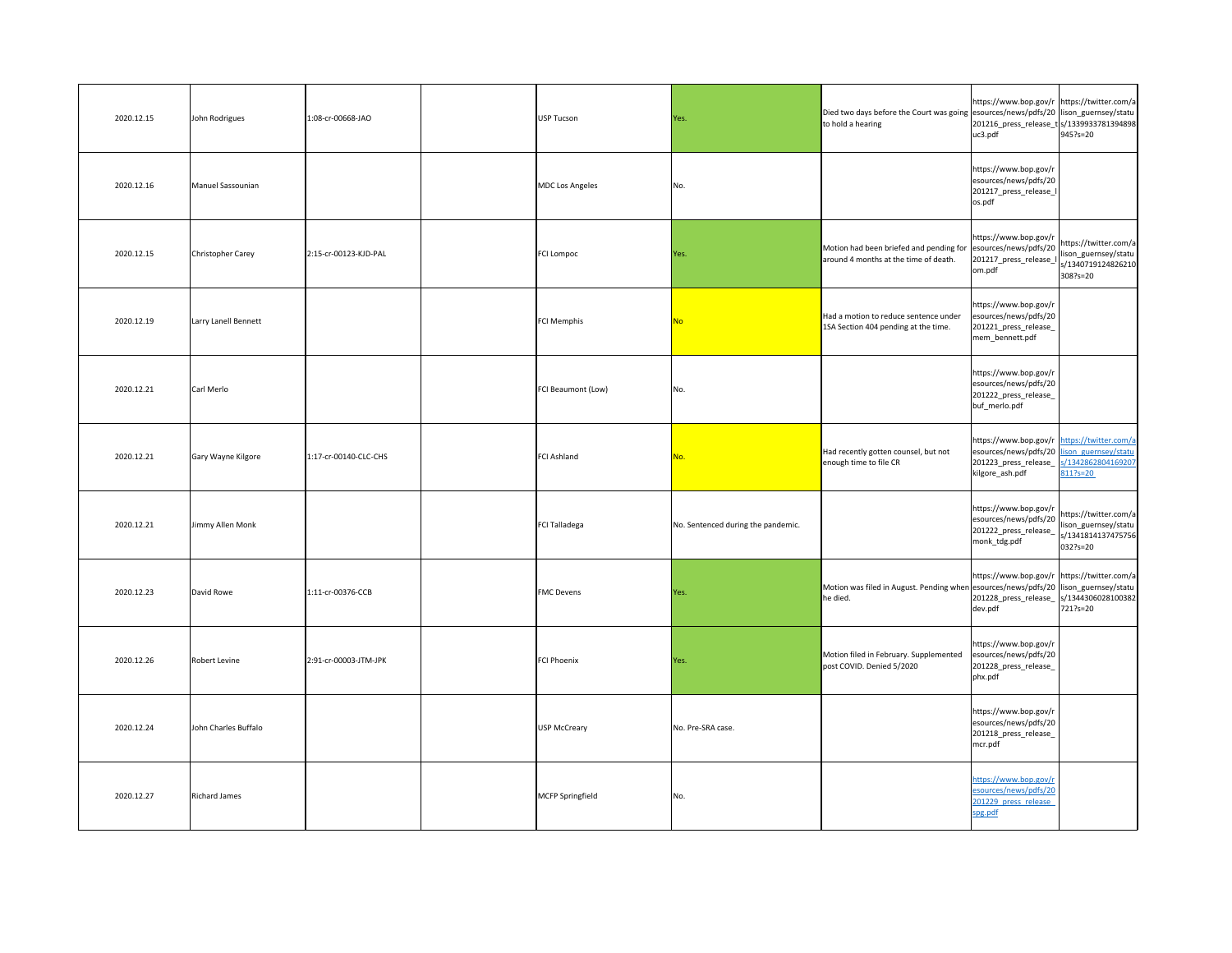| 2020.12.15 | John Rodrigues       | 1:08-cr-00668-JAO     | <b>USP Tucson</b>    | Yes.                               | Died two days before the Court was going esources/news/pdfs/20 lison_guernsey/statu<br>to hold a hearing   | https://www.bop.gov/r https://twitter.com/a<br>201216_press_release_t s/1339933781394898<br>uc3.pdf                                   | $945$ ?s=20                                                                       |
|------------|----------------------|-----------------------|----------------------|------------------------------------|------------------------------------------------------------------------------------------------------------|---------------------------------------------------------------------------------------------------------------------------------------|-----------------------------------------------------------------------------------|
| 2020.12.16 | Manuel Sassounian    |                       | MDC Los Angeles      | No.                                |                                                                                                            | https://www.bop.gov/r<br>esources/news/pdfs/20<br>201217_press_release_I<br>os.pdf                                                    |                                                                                   |
| 2020.12.15 | Christopher Carey    | 2:15-cr-00123-KJD-PAL | <b>FCI Lompoc</b>    | Yes.                               | Motion had been briefed and pending for $ e$ sources/news/pdfs/20<br>around 4 months at the time of death. | https://www.bop.gov/r<br>201217_press_release_I<br>om.pdf                                                                             | https://twitter.com/a<br>lison_guernsey/statu  <br>s/1340719124826210<br>308?s=20 |
| 2020.12.19 | Larry Lanell Bennett |                       | <b>FCI Memphis</b>   | <u>No</u>                          | Had a motion to reduce sentence under<br>1SA Section 404 pending at the time.                              | https://www.bop.gov/r<br>esources/news/pdfs/20<br>201221_press_release_<br>mem_bennett.pdf                                            |                                                                                   |
| 2020.12.21 | Carl Merlo           |                       | FCI Beaumont (Low)   | No.                                |                                                                                                            | https://www.bop.gov/r<br>esources/news/pdfs/20<br>201222_press_release_<br>buf_merlo.pdf                                              |                                                                                   |
| 2020.12.21 | Gary Wayne Kilgore   | 1:17-cr-00140-CLC-CHS | <b>FCI Ashland</b>   | No.                                | Had recently gotten counsel, but not<br>enough time to file CR                                             | https://www.bop.gov/r https://twitter.com/a<br>esources/news/pdfs/20 lison guernsey/statu<br>201223_press_release_<br>kilgore_ash.pdf | s/1342862804169207<br>811?s=20                                                    |
| 2020.12.21 | Jimmy Allen Monk     |                       | <b>FCI Talladega</b> | No. Sentenced during the pandemic. |                                                                                                            | https://www.bop.gov/r<br>esources/news/pdfs/20<br>201222_press_release_<br>monk_tdg.pdf                                               | https://twitter.com/a<br>lison_guernsey/statu  <br>s/1341814137475756<br>032?s=20 |
| 2020.12.23 | David Rowe           | 1:11-cr-00376-CCB     | <b>FMC</b> Devens    | Yes.                               | Motion was filed in August. Pending when esources/news/pdfs/20 llison_guernsey/statu  <br>he died.         | https://www.bop.gov/r https://twitter.com/a<br>201228_press_release_<br>dev.pdf                                                       | s/1344306028100382<br>721?s=20                                                    |
| 2020.12.26 | Robert Levine        | 2:91-cr-00003-JTM-JPK | <b>FCI Phoenix</b>   | Yes.                               | Motion filed in February. Supplemented<br>post COVID. Denied 5/2020                                        | https://www.bop.gov/r<br>esources/news/pdfs/20<br>201228_press_release_<br>phx.pdf                                                    |                                                                                   |
| 2020.12.24 | John Charles Buffalo |                       | USP McCreary         | No. Pre-SRA case.                  |                                                                                                            | https://www.bop.gov/r<br>esources/news/pdfs/20<br>201218_press_release_<br>mcr.pdf                                                    |                                                                                   |
| 2020.12.27 | Richard James        |                       | MCFP Springfield     | No.                                |                                                                                                            | https://www.bop.gov/r<br>esources/news/pdfs/20<br>201229 press release<br>spg.pdf                                                     |                                                                                   |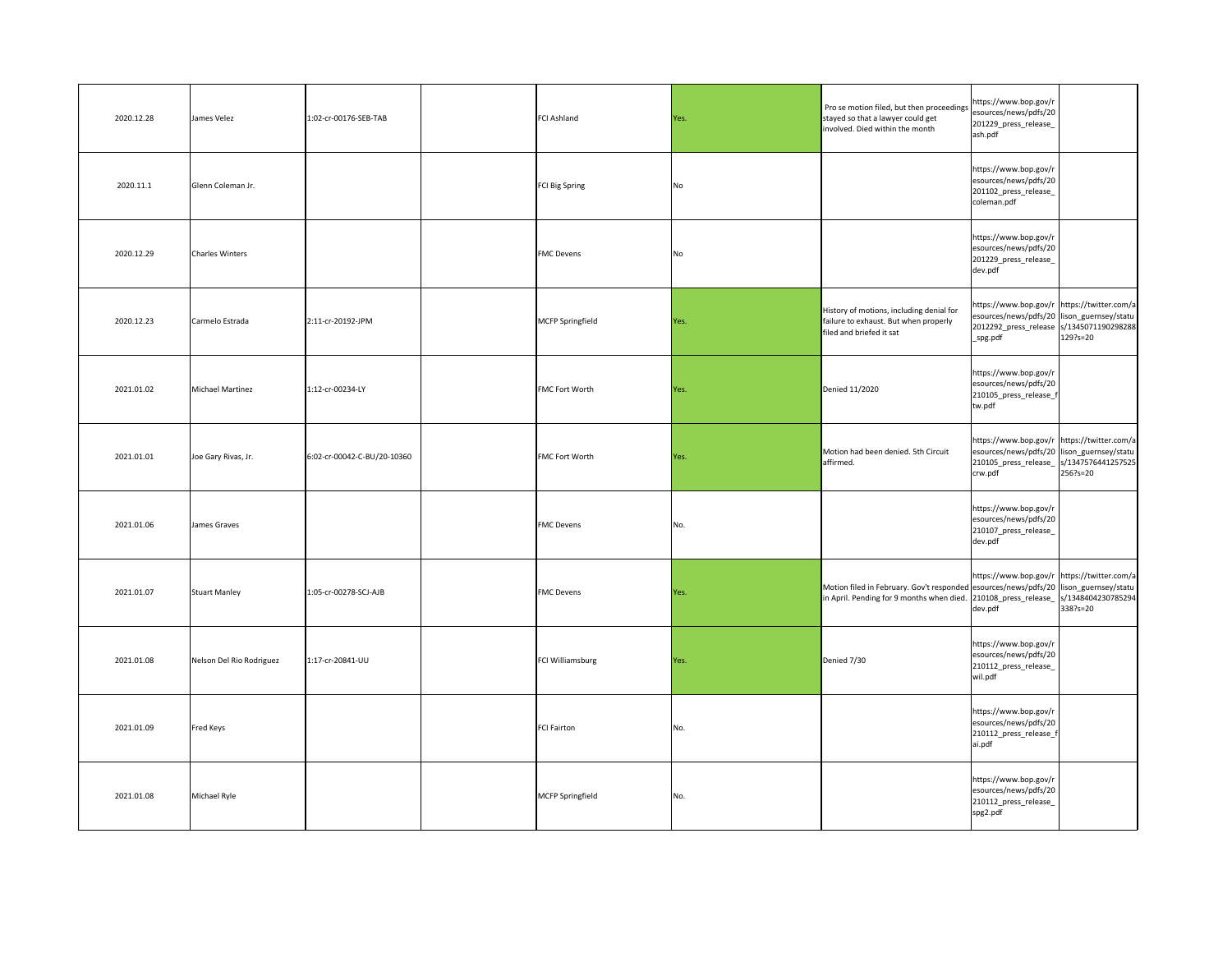| 2020.12.28 | James Velez              | 1:02-cr-00176-SEB-TAB       | <b>FCI Ashland</b>    | Yes. | Pro se motion filed, but then proceedings<br>stayed so that a lawyer could get<br>involved. Died within the month                                                             | https://www.bop.gov/r<br>esources/news/pdfs/20<br>201229_press_release_<br>ash.pdf                                                                      |          |
|------------|--------------------------|-----------------------------|-----------------------|------|-------------------------------------------------------------------------------------------------------------------------------------------------------------------------------|---------------------------------------------------------------------------------------------------------------------------------------------------------|----------|
| 2020.11.1  | Glenn Coleman Jr.        |                             | FCI Big Spring        | No   |                                                                                                                                                                               | https://www.bop.gov/r<br>esources/news/pdfs/20<br>201102_press_release_<br>coleman.pdf                                                                  |          |
| 2020.12.29 | Charles Winters          |                             | <b>FMC</b> Devens     | No   |                                                                                                                                                                               | https://www.bop.gov/r<br>esources/news/pdfs/20<br>201229_press_release_<br>dev.pdf                                                                      |          |
| 2020.12.23 | Carmelo Estrada          | 2:11-cr-20192-JPM           | MCFP Springfield      | Yes. | History of motions, including denial for<br>failure to exhaust. But when properly<br>filed and briefed it sat                                                                 | https://www.bop.gov/r  https://twitter.com/a <br>esources/news/pdfs/20 lison_guernsey/statu  <br>2012292_press_release  s/1345071190298288 <br>_spg.pdf | 129?s=20 |
| 2021.01.02 | Michael Martinez         | 1:12-cr-00234-LY            | <b>FMC Fort Worth</b> | Yes. | Denied 11/2020                                                                                                                                                                | https://www.bop.gov/r<br>esources/news/pdfs/20<br>210105_press_release_f<br>tw.pdf                                                                      |          |
| 2021.01.01 | Joe Gary Rivas, Jr.      | 6:02-cr-00042-C-BU/20-10360 | <b>FMC Fort Worth</b> | Yes. | Motion had been denied. 5th Circuit<br>affirmed.                                                                                                                              | https://www.bop.gov/r https://twitter.com/a<br>esources/news/pdfs/20 lison_guernsey/statu  <br>210105_press_release_  s/1347576441257525 <br>crw.pdf    | 256?s=20 |
| 2021.01.06 | James Graves             |                             | <b>FMC</b> Devens     | No.  |                                                                                                                                                                               | https://www.bop.gov/r<br>esources/news/pdfs/20<br>210107_press_release_<br>dev.pdf                                                                      |          |
| 2021.01.07 | Stuart Manley            | 1:05-cr-00278-SCJ-AJB       | <b>FMC</b> Devens     | Yes. | Motion filed in February. Gov't responded esources/news/pdfs/20 lison_guernsey/statu  <br>in April. Pending for 9 months when died. 210108_press_release_  s/1348404230785294 | https://www.bop.gov/r https://twitter.com/a<br>dev.pdf                                                                                                  | 338?s=20 |
| 2021.01.08 | Nelson Del Rio Rodriguez | 1:17-cr-20841-UU            | FCI Williamsburg      | Yes. | Denied 7/30                                                                                                                                                                   | https://www.bop.gov/r<br>esources/news/pdfs/20<br>210112_press_release_<br>wil.pdf                                                                      |          |
| 2021.01.09 | Fred Keys                |                             | <b>FCI Fairton</b>    | No.  |                                                                                                                                                                               | https://www.bop.gov/r<br>esources/news/pdfs/20<br>210112_press_release_f<br>ai.pdf                                                                      |          |
| 2021.01.08 | Michael Ryle             |                             | MCFP Springfield      | No.  |                                                                                                                                                                               | https://www.bop.gov/r<br>esources/news/pdfs/20<br>210112_press_release_<br>spg2.pdf                                                                     |          |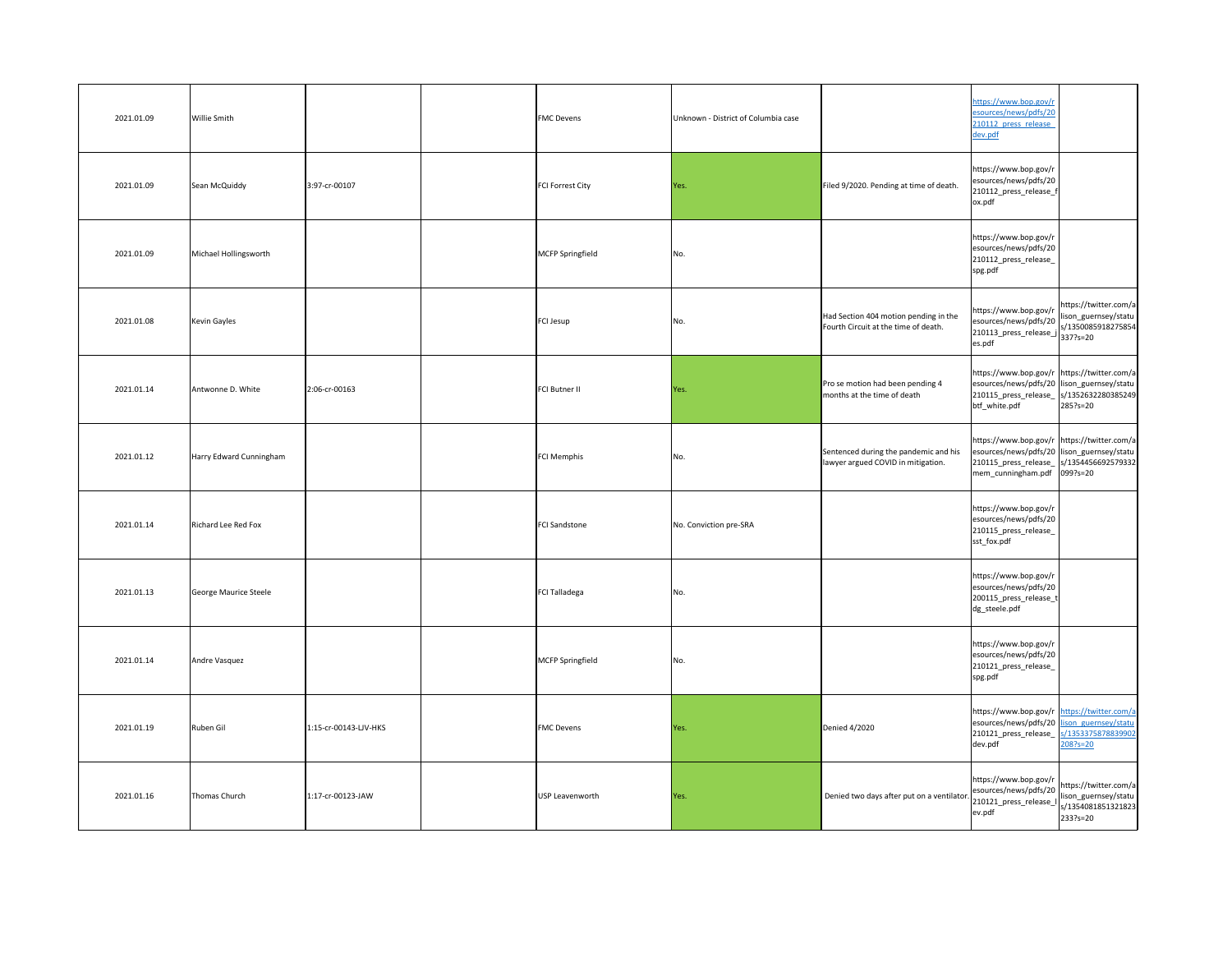| 2021.01.09 | Willie Smith            |                       | <b>FMC</b> Devens       | Unknown - District of Columbia case |                                                                               | https://www.bop.gov/r<br>esources/news/pdfs/20<br>210112 press release<br>dev.pdf                                                                                                                                            |                                                                     |
|------------|-------------------------|-----------------------|-------------------------|-------------------------------------|-------------------------------------------------------------------------------|------------------------------------------------------------------------------------------------------------------------------------------------------------------------------------------------------------------------------|---------------------------------------------------------------------|
| 2021.01.09 | Sean McQuiddy           | 3:97-cr-00107         | <b>FCI Forrest City</b> | Yes.                                | Filed 9/2020. Pending at time of death.                                       | https://www.bop.gov/r<br>esources/news/pdfs/20<br>210112_press_release_f<br>ox.pdf                                                                                                                                           |                                                                     |
| 2021.01.09 | Michael Hollingsworth   |                       | MCFP Springfield        | No.                                 |                                                                               | https://www.bop.gov/r<br>esources/news/pdfs/20<br>210112_press_release_<br>spg.pdf                                                                                                                                           |                                                                     |
| 2021.01.08 | Kevin Gayles            |                       | FCI Jesup               | No.                                 | Had Section 404 motion pending in the<br>Fourth Circuit at the time of death. | https://www.bop.gov/r<br>esources/news/pdfs/20<br>$210113$ _press_release_j $337$ ?s=20<br>es.pdf                                                                                                                            | https://twitter.com/a<br>lison_guernsey/statu<br>s/1350085918275854 |
| 2021.01.14 | Antwonne D. White       | 2:06-cr-00163         | <b>FCI Butner II</b>    | Yes.                                | Pro se motion had been pending 4<br>months at the time of death               | https://www.bop.gov/r https://twitter.com/a<br>esources/news/pdfs/20 lison_guernsey/statu  <br>210115_press_release_  s/1352632280385249<br>btf_white.pdf                                                                    | $285$ ?s=20                                                         |
| 2021.01.12 | Harry Edward Cunningham |                       | <b>FCI Memphis</b>      | No.                                 | Sentenced during the pandemic and his<br>lawyer argued COVID in mitigation.   | https://www.bop.gov/r https://twitter.com/a<br>esources/news/pdfs/20 lison_guernsey/statu<br>210115_press_release_  s/1354456692579332<br>mem_cunningham.pdf 099?s=20                                                        |                                                                     |
| 2021.01.14 | Richard Lee Red Fox     |                       | <b>FCI Sandstone</b>    | No. Conviction pre-SRA              |                                                                               | https://www.bop.gov/r<br>esources/news/pdfs/20<br>210115_press_release_<br>sst_fox.pdf                                                                                                                                       |                                                                     |
| 2021.01.13 | George Maurice Steele   |                       | <b>FCI Talladega</b>    | No.                                 |                                                                               | https://www.bop.gov/r<br>esources/news/pdfs/20<br>200115_press_release_t<br>dg_steele.pdf                                                                                                                                    |                                                                     |
| 2021.01.14 | Andre Vasquez           |                       | MCFP Springfield        | No.                                 |                                                                               | https://www.bop.gov/r<br>esources/news/pdfs/20<br>210121_press_release_<br>spg.pdf                                                                                                                                           |                                                                     |
| 2021.01.19 | Ruben Gil               | 1:15-cr-00143-LJV-HKS | <b>FMC Devens</b>       | Yes.                                | Denied 4/2020                                                                 | https://www.bop.gov/r https://twitter.com/a<br>esources/news/pdfs/20 lison guernsey/statu<br>210121_press_release_<br>dev.pdf                                                                                                | s/1353375878839902<br>$208?s = 20$                                  |
| 2021.01.16 | Thomas Church           | $1:17$ -cr-00123-JAW  | USP Leavenworth         | Yes.                                | Denied two days after put on a ventilator.                                    | https://www.bop.gov/r  <br> https://twitter.com/a<br>$\left[\frac{\text{lexp3.}}{\text{resources/news/pdfs/20}}\right]$ $\left[\frac{\text{lexp3.}}{\text{loss\_guernsey/statu}}\right]$<br>210121_press_release_I<br>ev.pdf | s/1354081851321823<br>233?s=20                                      |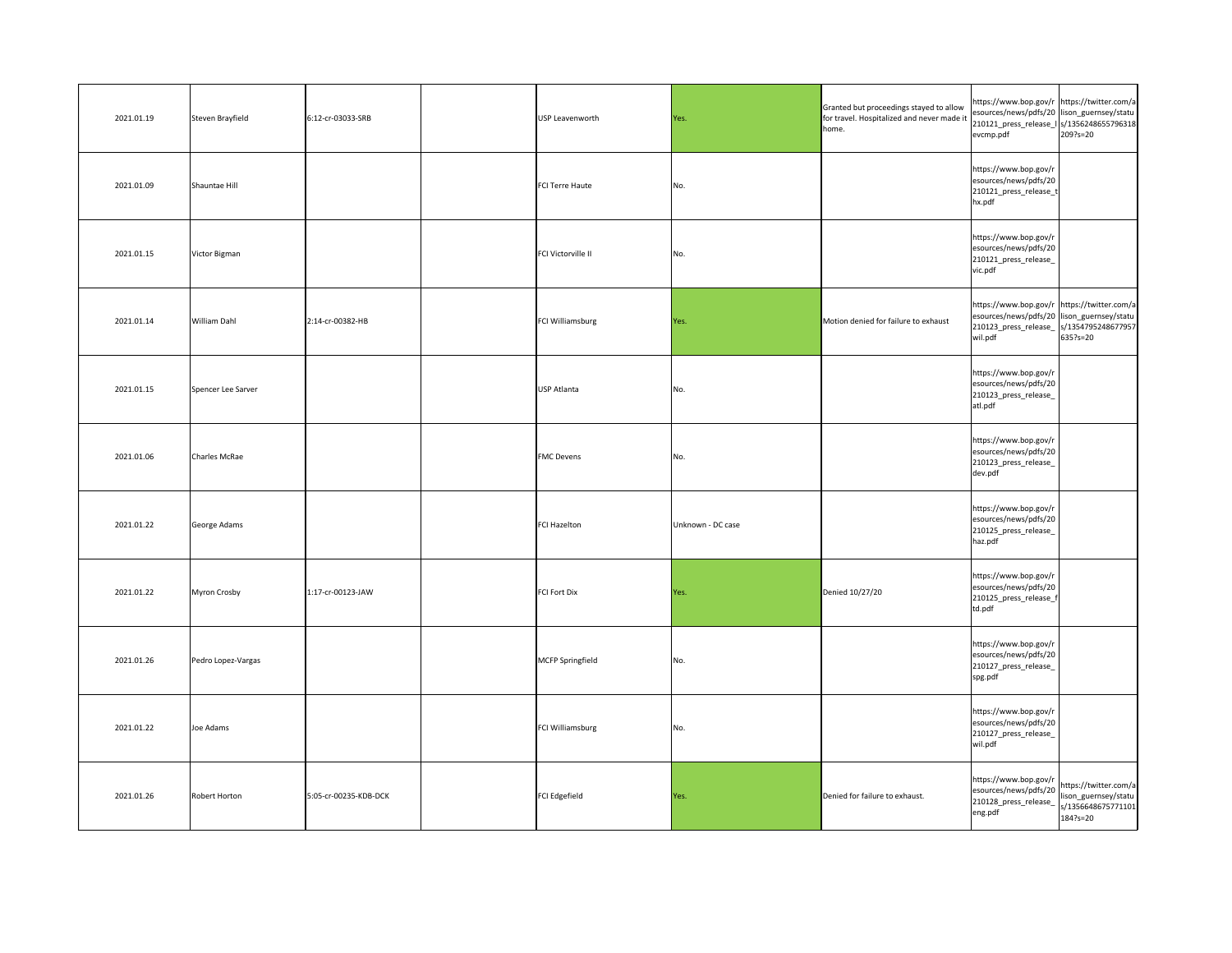| 2021.01.19 | Steven Brayfield   | 6:12-cr-03033-SRB     | USP Leavenworth           | Yes.              | Granted but proceedings stayed to allow<br>for travel. Hospitalized and never made it<br>home. | https://www.bop.gov/r https://twitter.com/a<br>esources/news/pdfs/20 lison_guernsey/statu  <br>210121_press_release_I   s/1356248655796318<br>evcmp.pdf | 209?s=20                                                 |
|------------|--------------------|-----------------------|---------------------------|-------------------|------------------------------------------------------------------------------------------------|---------------------------------------------------------------------------------------------------------------------------------------------------------|----------------------------------------------------------|
| 2021.01.09 | Shauntae Hill      |                       | FCI Terre Haute           | No.               |                                                                                                | https://www.bop.gov/r<br>esources/news/pdfs/20<br>210121_press_release_t<br>hx.pdf                                                                      |                                                          |
| 2021.01.15 | Victor Bigman      |                       | <b>FCI Victorville II</b> | No.               |                                                                                                | https://www.bop.gov/r<br>esources/news/pdfs/20<br>210121_press_release_<br>vic.pdf                                                                      |                                                          |
| 2021.01.14 | William Dahl       | 2:14-cr-00382-HB      | FCI Williamsburg          | Yes.              | Motion denied for failure to exhaust                                                           | https://www.bop.gov/r https://twitter.com/a<br>esources/news/pdfs/20 lison_guernsey/statu  <br>210123_press_release_  s/1354795248677957<br>wil.pdf     | 635?s=20                                                 |
| 2021.01.15 | Spencer Lee Sarver |                       | <b>USP Atlanta</b>        | No.               |                                                                                                | https://www.bop.gov/r<br>esources/news/pdfs/20<br>210123_press_release_<br>atl.pdf                                                                      |                                                          |
| 2021.01.06 | Charles McRae      |                       | <b>FMC</b> Devens         | No.               |                                                                                                | https://www.bop.gov/r<br>esources/news/pdfs/20<br>210123_press_release_<br>dev.pdf                                                                      |                                                          |
| 2021.01.22 | George Adams       |                       | <b>FCI Hazelton</b>       | Unknown - DC case |                                                                                                | https://www.bop.gov/r<br>esources/news/pdfs/20<br>210125_press_release_<br>haz.pdf                                                                      |                                                          |
| 2021.01.22 | Myron Crosby       | 1:17-cr-00123-JAW     | <b>FCI Fort Dix</b>       | Yes.              | Denied 10/27/20                                                                                | https://www.bop.gov/r<br>esources/news/pdfs/20<br>210125_press_release_f<br>td.pdf                                                                      |                                                          |
| 2021.01.26 | Pedro Lopez-Vargas |                       | MCFP Springfield          | No.               |                                                                                                | https://www.bop.gov/r<br>esources/news/pdfs/20<br>210127_press_release_<br>spg.pdf                                                                      |                                                          |
| 2021.01.22 | Joe Adams          |                       | <b>FCI Williamsburg</b>   | No.               |                                                                                                | https://www.bop.gov/r<br>esources/news/pdfs/20<br>210127_press_release_<br>wil.pdf                                                                      |                                                          |
| 2021.01.26 | Robert Horton      | 5:05-cr-00235-KDB-DCK | FCI Edgefield             | Yes.              | Denied for failure to exhaust.                                                                 | https://www.bop.gov/r<br>esources/news/pdfs/20 https://twitter.com/a<br>210128_press_release_<br>eng.pdf                                                | lison_guernsey/statu  <br>s/1356648675771101<br>184?s=20 |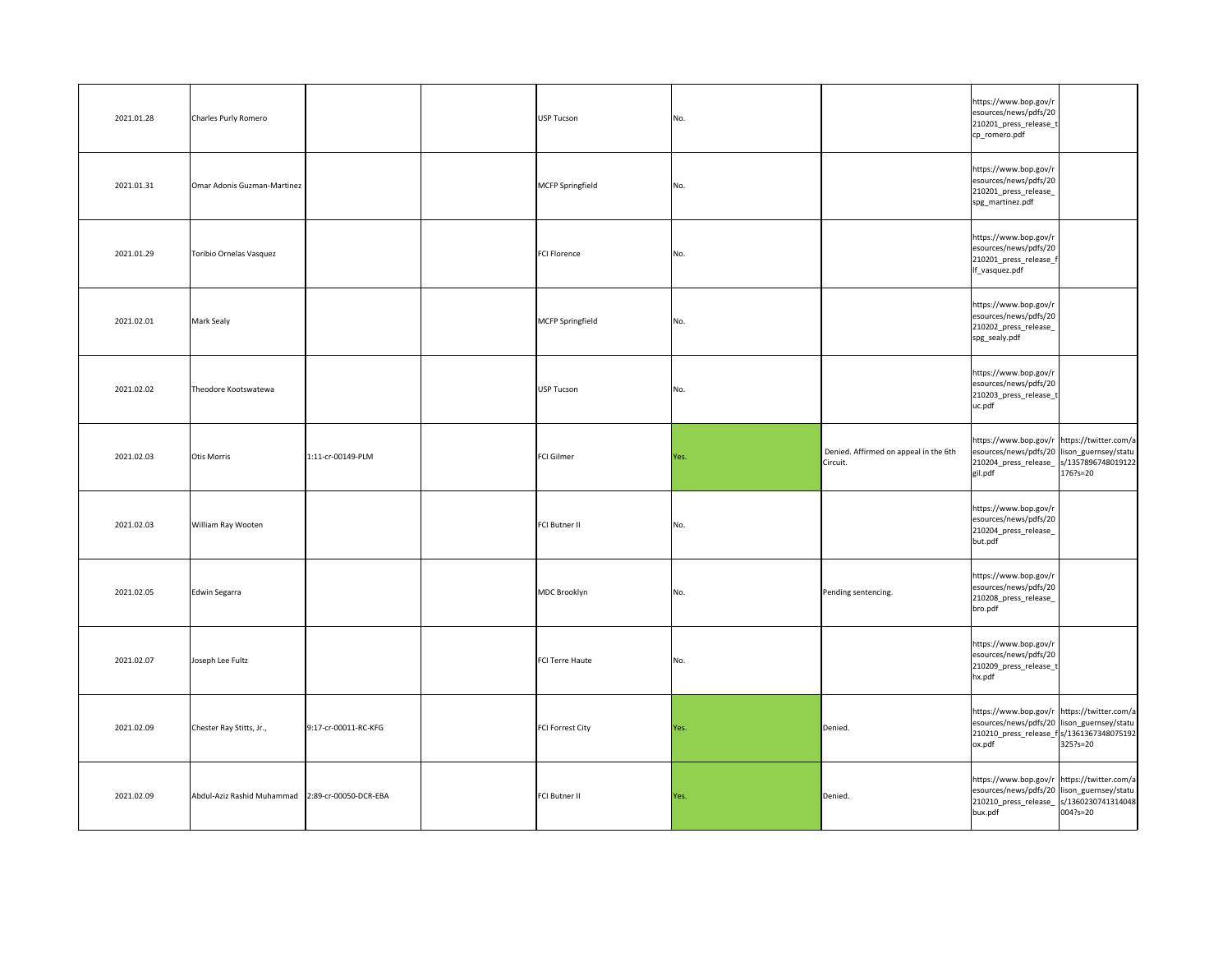| 2021.01.28 | Charles Purly Romero                             |                      | USP Tucson              | No.  |                                                   | https://www.bop.gov/r<br>esources/news/pdfs/20<br>210201_press_release_t<br>cp_romero.pdf                                                             |              |
|------------|--------------------------------------------------|----------------------|-------------------------|------|---------------------------------------------------|-------------------------------------------------------------------------------------------------------------------------------------------------------|--------------|
| 2021.01.31 | Omar Adonis Guzman-Martinez                      |                      | MCFP Springfield        | No.  |                                                   | https://www.bop.gov/r<br>esources/news/pdfs/20<br>210201_press_release_<br>spg_martinez.pdf                                                           |              |
| 2021.01.29 | Toribio Ornelas Vasquez                          |                      | FCI Florence            | No.  |                                                   | https://www.bop.gov/r<br>esources/news/pdfs/20<br>210201_press_release_f<br>If_vasquez.pdf                                                            |              |
| 2021.02.01 | Mark Sealy                                       |                      | MCFP Springfield        | No.  |                                                   | https://www.bop.gov/r<br>esources/news/pdfs/20<br>210202_press_release_<br>spg_sealy.pdf                                                              |              |
| 2021.02.02 | Theodore Kootswatewa                             |                      | USP Tucson              | No.  |                                                   | https://www.bop.gov/r<br>esources/news/pdfs/20<br>210203_press_release_t<br>uc.pdf                                                                    |              |
| 2021.02.03 | Otis Morris                                      | 1:11-cr-00149-PLM    | FCI Gilmer              | Yes. | Denied. Affirmed on appeal in the 6th<br>Circuit. | https://www.bop.gov/r https://twitter.com/a<br>esources/news/pdfs/20 lison_guernsey/statu  <br>210204_press_release_  s/1357896748019122 <br>gil.pdf  | $176$ ?s=20  |
| 2021.02.03 | William Ray Wooten                               |                      | FCI Butner II           | No.  |                                                   | https://www.bop.gov/r<br>esources/news/pdfs/20<br>210204_press_release_<br>but.pdf                                                                    |              |
| 2021.02.05 | Edwin Segarra                                    |                      | MDC Brooklyn            | No.  | Pending sentencing.                               | https://www.bop.gov/r<br>esources/news/pdfs/20<br>210208_press_release_<br>bro.pdf                                                                    |              |
| 2021.02.07 | Joseph Lee Fultz                                 |                      | FCI Terre Haute         | No.  |                                                   | https://www.bop.gov/r<br>esources/news/pdfs/20<br>210209_press_release_t<br>hx.pdf                                                                    |              |
| 2021.02.09 | Chester Ray Stitts, Jr.,                         | 9:17-cr-00011-RC-KFG | <b>FCI Forrest City</b> | Yes. | Denied.                                           | https://www.bop.gov/r https://twitter.com/a<br>esources/news/pdfs/20 lison_guernsey/statu  <br>210210_press_release_f s/1361367348075192<br>ox.pdf    | $325$ ?s=20  |
| 2021.02.09 | Abdul-Aziz Rashid Muhammad 2:89-cr-00050-DCR-EBA |                      | FCI Butner II           | Yes. | Denied.                                           | https://www.bop.gov/r https://twitter.com/a<br>esources/news/pdfs/20  lison_guernsey/statu  <br>210210_press_release_  s/1360230741314048 <br>bux.pdf | $004?s = 20$ |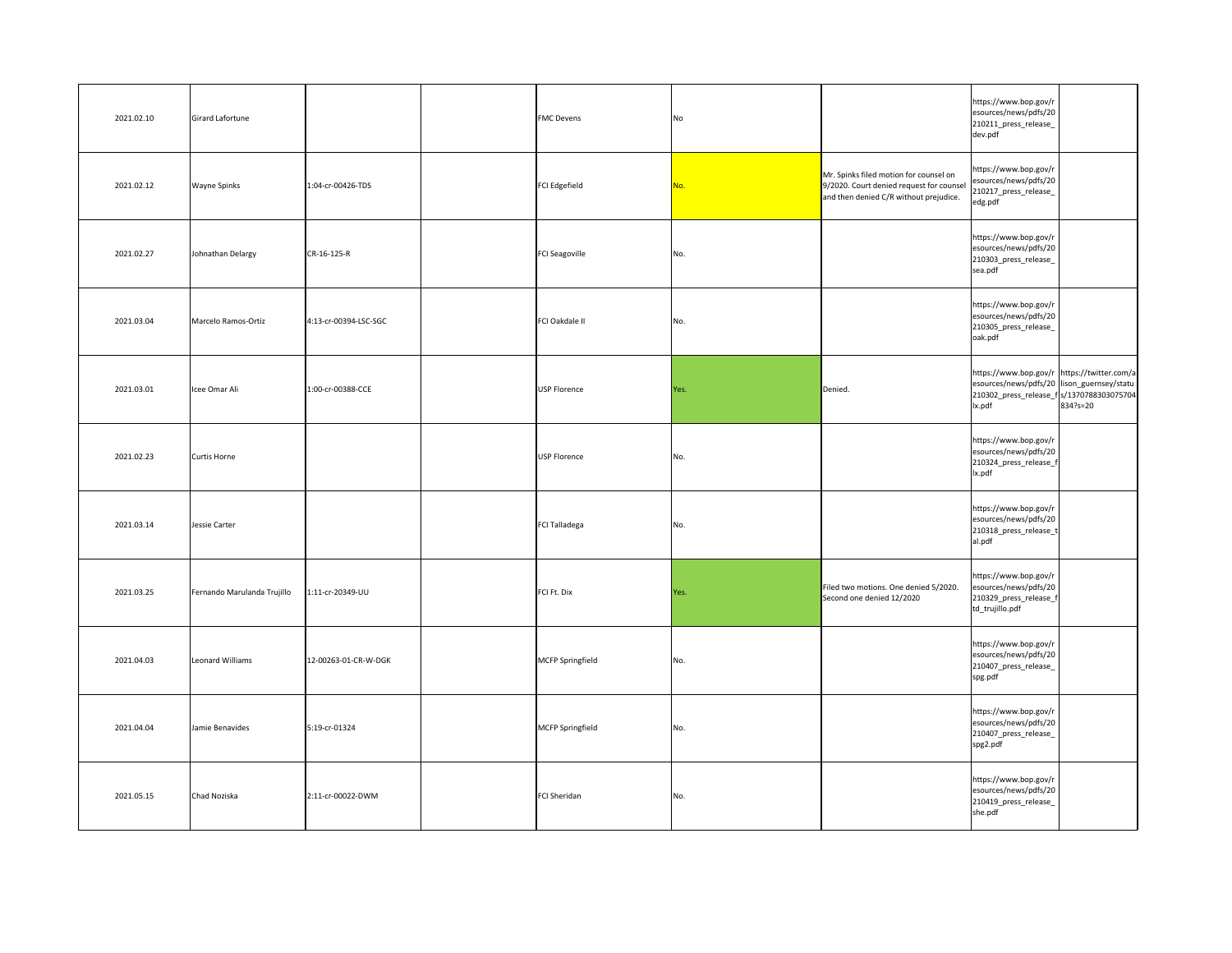| 2021.02.10 | Girard Lafortune            |                       | <b>FMC Devens</b>   | No   |                                                                                                                              | https://www.bop.gov/r<br>esources/news/pdfs/20<br>210211_press_release_<br>dev.pdf                                                                |          |
|------------|-----------------------------|-----------------------|---------------------|------|------------------------------------------------------------------------------------------------------------------------------|---------------------------------------------------------------------------------------------------------------------------------------------------|----------|
| 2021.02.12 | <b>Wayne Spinks</b>         | 1:04-cr-00426-TDS     | FCI Edgefield       | No.  | Mr. Spinks filed motion for counsel on<br>9/2020. Court denied request for counsel<br>and then denied C/R without prejudice. | https://www.bop.gov/r<br>esources/news/pdfs/20<br>210217_press_release_<br>edg.pdf                                                                |          |
| 2021.02.27 | Johnathan Delargy           | $CR-16-125-R$         | FCI Seagoville      | No.  |                                                                                                                              | https://www.bop.gov/r<br>esources/news/pdfs/20<br>210303_press_release_<br>sea.pdf                                                                |          |
| 2021.03.04 | Marcelo Ramos-Ortiz         | 4:13-cr-00394-LSC-SGC | FCI Oakdale II      | No.  |                                                                                                                              | https://www.bop.gov/r<br>esources/news/pdfs/20<br>210305_press_release_<br>oak.pdf                                                                |          |
| 2021.03.01 | Icee Omar Ali               | 1:00-cr-00388-CCE     | <b>USP Florence</b> | Yes. | Denied.                                                                                                                      | https://www.bop.gov/r https://twitter.com/a<br>esources/news/pdfs/20 lison_guernsey/statu<br>210302_press_release_f s/1370788303075704 <br>lx.pdf | 834?s=20 |
| 2021.02.23 | Curtis Horne                |                       | USP Florence        | No.  |                                                                                                                              | https://www.bop.gov/r<br>esources/news/pdfs/20<br>210324_press_release_f<br>lx.pdf                                                                |          |
| 2021.03.14 | Jessie Carter               |                       | FCI Talladega       | No.  |                                                                                                                              | https://www.bop.gov/r<br>esources/news/pdfs/20<br>210318_press_release_t<br>al.pdf                                                                |          |
| 2021.03.25 | Fernando Marulanda Trujillo | 1:11-cr-20349-UU      | FCI Ft. Dix         | Yes. | Filed two motions. One denied 5/2020.<br>Second one denied 12/2020                                                           | https://www.bop.gov/r<br>esources/news/pdfs/20<br>210329_press_release_f<br>td_trujillo.pdf                                                       |          |
| 2021.04.03 | Leonard Williams            | 12-00263-01-CR-W-DGK  | MCFP Springfield    | No.  |                                                                                                                              | https://www.bop.gov/r<br>esources/news/pdfs/20<br>210407_press_release_<br>spg.pdf                                                                |          |
| 2021.04.04 | Jamie Benavides             | 5:19-cr-01324         | MCFP Springfield    | No.  |                                                                                                                              | https://www.bop.gov/r<br>esources/news/pdfs/20<br>210407_press_release_<br>spg2.pdf                                                               |          |
| 2021.05.15 | Chad Noziska                | 2:11-cr-00022-DWM     | FCI Sheridan        | No.  |                                                                                                                              | https://www.bop.gov/r<br>esources/news/pdfs/20<br>210419_press_release_<br>she.pdf                                                                |          |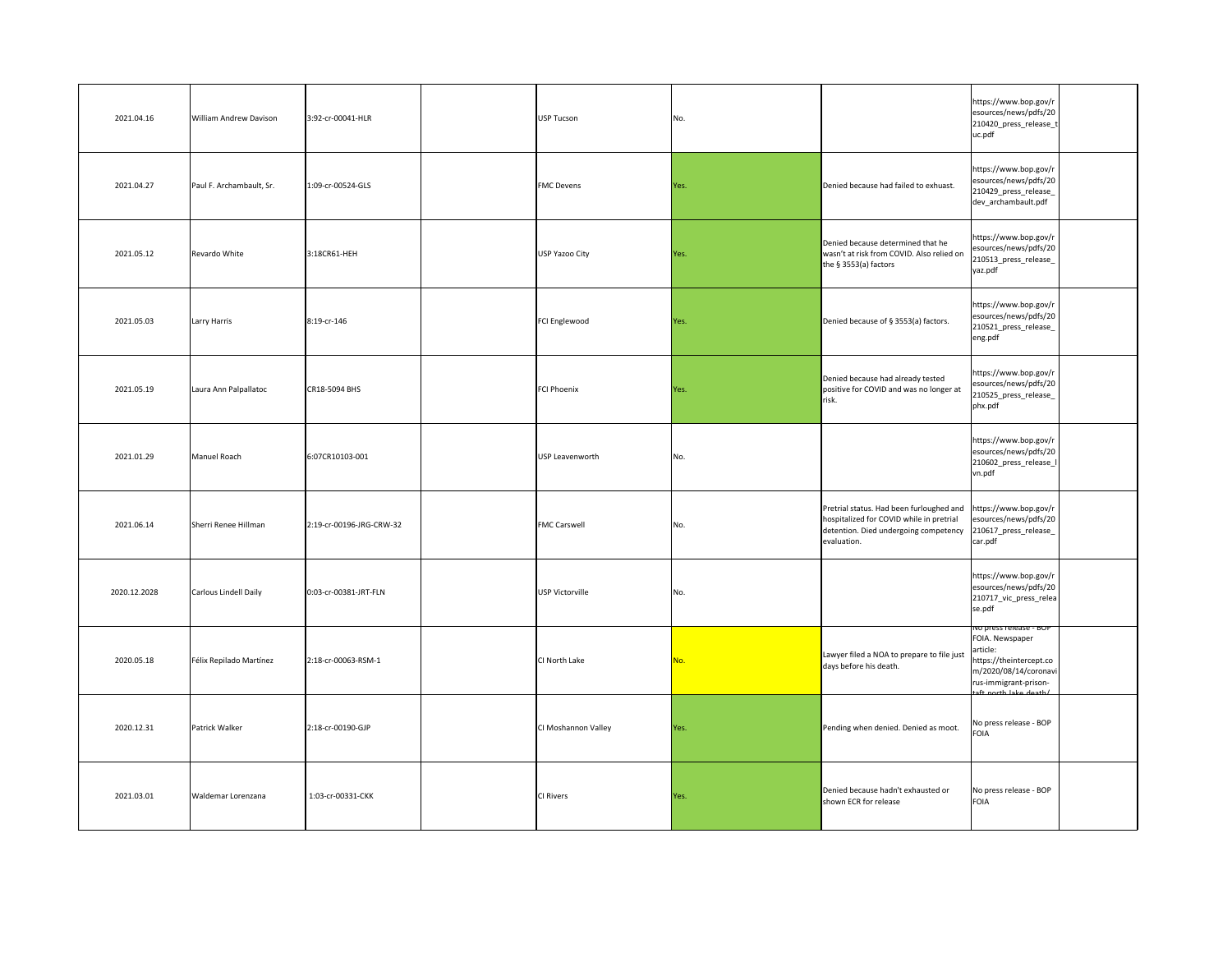| 2021.04.16   | <b>William Andrew Davison</b> | 3:92-cr-00041-HLR        | USP Tucson          | No.        |                                                                                                                                              | https://www.bop.gov/r<br>esources/news/pdfs/20<br>210420_press_release_t<br>uc.pdf                                                                                   |  |
|--------------|-------------------------------|--------------------------|---------------------|------------|----------------------------------------------------------------------------------------------------------------------------------------------|----------------------------------------------------------------------------------------------------------------------------------------------------------------------|--|
| 2021.04.27   | Paul F. Archambault, Sr.      | 1:09-cr-00524-GLS        | <b>FMC</b> Devens   | Yes.       | Denied because had failed to exhuast.                                                                                                        | https://www.bop.gov/r<br>esources/news/pdfs/20<br>210429_press_release_<br>dev_archambault.pdf                                                                       |  |
| 2021.05.12   | Revardo White                 | 3:18CR61-HEH             | USP Yazoo City      | Yes.       | Denied because determined that he<br>wasn't at risk from COVID. Also relied on<br>the § 3553(a) factors                                      | https://www.bop.gov/r<br>esources/news/pdfs/20<br>210513_press_release_<br>yaz.pdf                                                                                   |  |
| 2021.05.03   | Larry Harris                  | 8:19-cr-146              | FCI Englewood       | Yes.       | Denied because of § 3553(a) factors.                                                                                                         | https://www.bop.gov/r<br>esources/news/pdfs/20<br>210521_press_release_<br>eng.pdf                                                                                   |  |
| 2021.05.19   | Laura Ann Palpallatoc         | CR18-5094 BHS            | FCI Phoenix         | Yes.       | Denied because had already tested<br>positive for COVID and was no longer at<br>risk.                                                        | https://www.bop.gov/r<br>esources/news/pdfs/20<br>210525_press_release_<br>phx.pdf                                                                                   |  |
| 2021.01.29   | Manuel Roach                  | 6:07CR10103-001          | USP Leavenworth     | No.        |                                                                                                                                              | https://www.bop.gov/r<br>esources/news/pdfs/20<br>210602_press_release_I<br>vn.pdf                                                                                   |  |
| 2021.06.14   | Sherri Renee Hillman          | 2:19-cr-00196-JRG-CRW-32 | <b>FMC Carswell</b> | No.        | Pretrial status. Had been furloughed and<br>hospitalized for COVID while in pretrial<br>detention. Died undergoing competency<br>evaluation. | https://www.bop.gov/r<br>esources/news/pdfs/20<br>210617_press_release_<br>car.pdf                                                                                   |  |
| 2020.12.2028 | Carlous Lindell Daily         | 0:03-cr-00381-JRT-FLN    | USP Victorville     | No.        |                                                                                                                                              | https://www.bop.gov/r<br>esources/news/pdfs/20<br>210717_vic_press_relea<br>se.pdf                                                                                   |  |
| 2020.05.18   | Félix Repilado Martínez       | 2:18-cr-00063-RSM-1      | CI North Lake       | <u>No.</u> | Lawyer filed a NOA to prepare to file just<br>days before his death.                                                                         | no press release - BOP<br>FOIA. Newspaper<br>article:<br>https://theintercept.co<br>m/2020/08/14/coronavi<br>rus-immigrant-prison-<br>$\text{eff}$ porth lake death! |  |
| 2020.12.31   | Patrick Walker                | 2:18-cr-00190-GJP        | CI Moshannon Valley | Yes.       | Pending when denied. Denied as moot.                                                                                                         | No press release - BOP<br>FOIA                                                                                                                                       |  |
| 2021.03.01   | Waldemar Lorenzana            | 1:03-cr-00331-CKK        | <b>CI Rivers</b>    | Yes.       | Denied because hadn't exhausted or<br>shown ECR for release                                                                                  | No press release - BOP<br><b>FOIA</b>                                                                                                                                |  |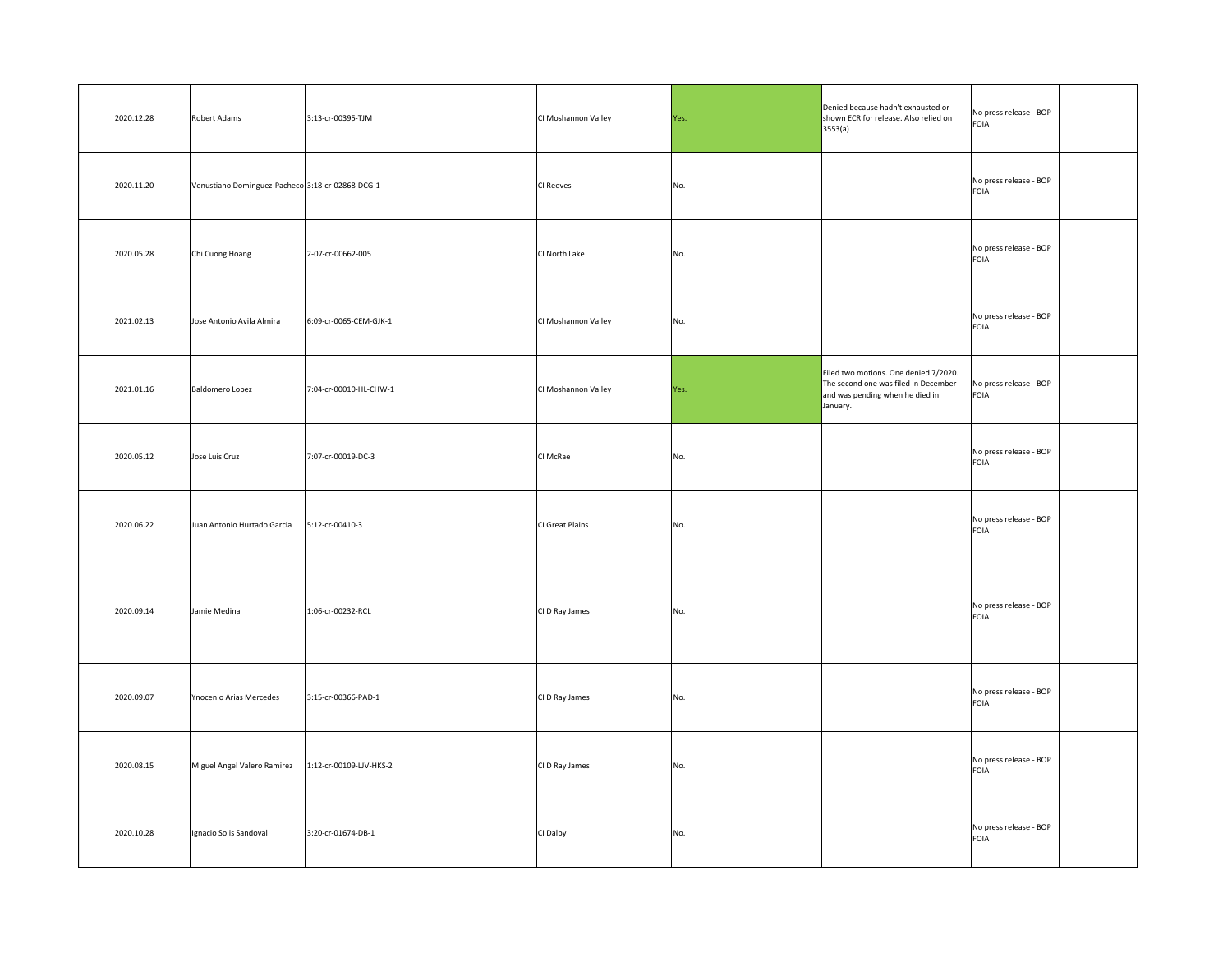| 2020.12.28 | Robert Adams                                     | 3:13-cr-00395-TJM       | CI Moshannon Valley | Yes. | Denied because hadn't exhausted or<br>shown ECR for release. Also relied on<br>3553(a)                                       | No press release - BOP<br>FOIA        |
|------------|--------------------------------------------------|-------------------------|---------------------|------|------------------------------------------------------------------------------------------------------------------------------|---------------------------------------|
| 2020.11.20 | Venustiano Dominguez-Pacheco 3:18-cr-02868-DCG-1 |                         | <b>CI Reeves</b>    | No.  |                                                                                                                              | No press release - BOP<br><b>FOIA</b> |
| 2020.05.28 | Chi Cuong Hoang                                  | 2-07-cr-00662-005       | CI North Lake       | No.  |                                                                                                                              | No press release - BOP<br><b>FOIA</b> |
| 2021.02.13 | Jose Antonio Avila Almira                        | 6:09-cr-0065-CEM-GJK-1  | CI Moshannon Valley | No.  |                                                                                                                              | No press release - BOP<br>FOIA        |
| 2021.01.16 | Baldomero Lopez                                  | 7:04-cr-00010-HL-CHW-1  | CI Moshannon Valley | Yes. | Filed two motions. One denied 7/2020.<br>The second one was filed in December<br>and was pending when he died in<br>January. | No press release - BOP<br>FOIA        |
| 2020.05.12 | Jose Luis Cruz                                   | 7:07-cr-00019-DC-3      | CI McRae            | No.  |                                                                                                                              | No press release - BOP<br><b>FOIA</b> |
| 2020.06.22 | Juan Antonio Hurtado Garcia                      | $5:12$ -cr-00410-3      | CI Great Plains     | No.  |                                                                                                                              | No press release - BOP<br>FOIA        |
| 2020.09.14 | Jamie Medina                                     | 1:06-cr-00232-RCL       | CI D Ray James      | No.  |                                                                                                                              | No press release - BOP<br><b>FOIA</b> |
| 2020.09.07 | Ynocenio Arias Mercedes                          | 3:15-cr-00366-PAD-1     | CI D Ray James      | No.  |                                                                                                                              | No press release - BOP<br>FOIA        |
| 2020.08.15 | Miguel Angel Valero Ramirez                      | 1:12-cr-00109-LJV-HKS-2 | CI D Ray James      | No.  |                                                                                                                              | No press release - BOP<br>FOIA        |
| 2020.10.28 | Ignacio Solis Sandoval                           | 3:20-cr-01674-DB-1      | CI Dalby            | No.  |                                                                                                                              | No press release - BOP<br><b>FOIA</b> |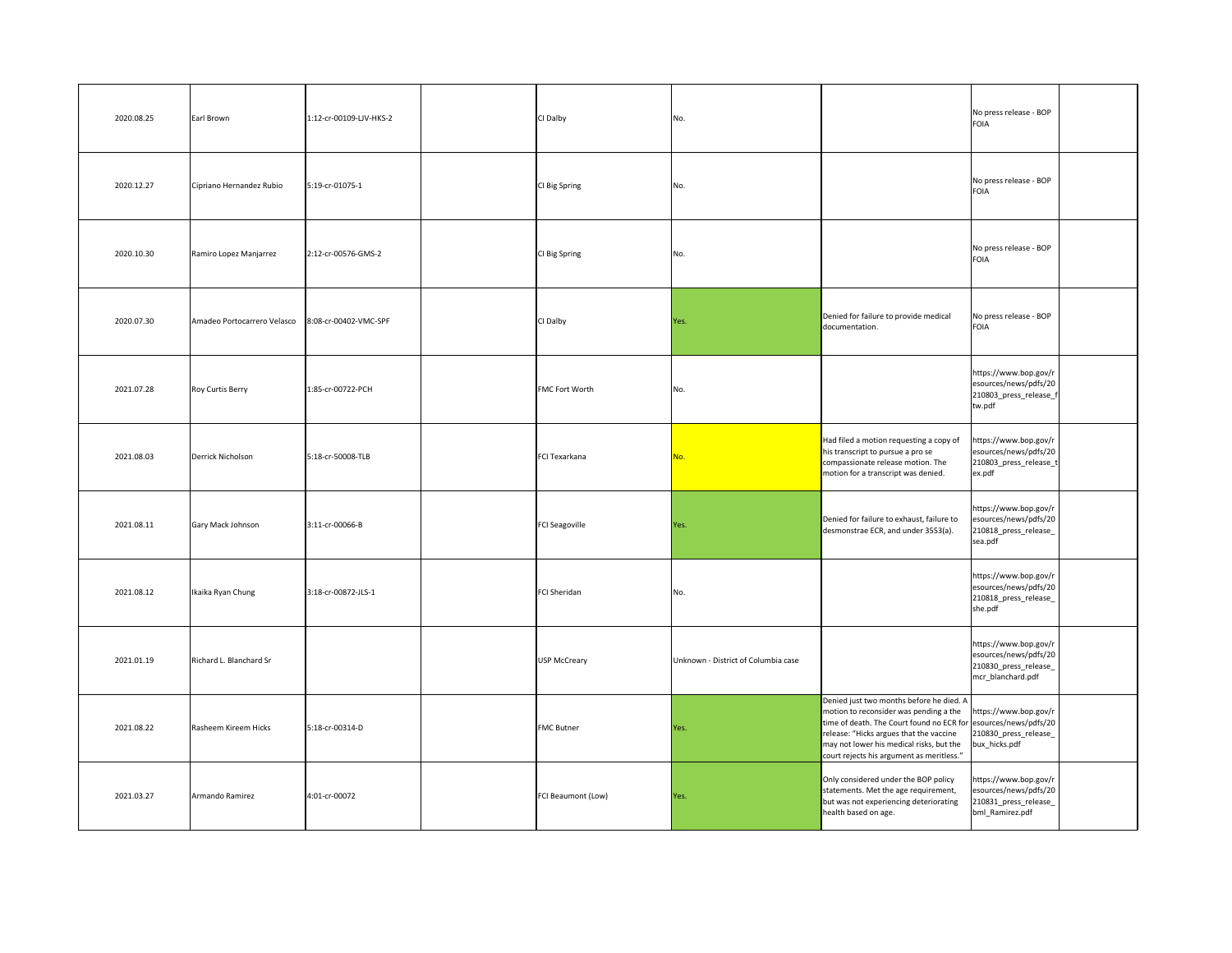| 2020.08.25 | Earl Brown                  | 1:12-cr-00109-LJV-HKS-2 | CI Dalby              | No.                                 |                                                                                                                                                                                                                                                                                           | No press release - BOP<br><b>FOIA</b>                                                        |  |
|------------|-----------------------------|-------------------------|-----------------------|-------------------------------------|-------------------------------------------------------------------------------------------------------------------------------------------------------------------------------------------------------------------------------------------------------------------------------------------|----------------------------------------------------------------------------------------------|--|
| 2020.12.27 | Cipriano Hernandez Rubio    | 5:19-cr-01075-1         | CI Big Spring         | No.                                 |                                                                                                                                                                                                                                                                                           | No press release - BOP<br><b>FOIA</b>                                                        |  |
| 2020.10.30 | Ramiro Lopez Manjarrez      | 2:12-cr-00576-GMS-2     | CI Big Spring         | No.                                 |                                                                                                                                                                                                                                                                                           | No press release - BOP<br><b>FOIA</b>                                                        |  |
| 2020.07.30 | Amadeo Portocarrero Velasco | 8:08-cr-00402-VMC-SPF   | CI Dalby              | Yes.                                | Denied for failure to provide medical<br>documentation.                                                                                                                                                                                                                                   | No press release - BOP<br>FOIA                                                               |  |
| 2021.07.28 | Roy Curtis Berry            | 1:85-cr-00722-PCH       | <b>FMC Fort Worth</b> | No.                                 |                                                                                                                                                                                                                                                                                           | https://www.bop.gov/r<br>esources/news/pdfs/20<br>210803_press_release_f<br>tw.pdf           |  |
| 2021.08.03 | Derrick Nicholson           | 5:18-cr-50008-TLB       | FCI Texarkana         | No.                                 | Had filed a motion requesting a copy of<br>his transcript to pursue a pro se<br>compassionate release motion. The<br>motion for a transcript was denied.                                                                                                                                  | https://www.bop.gov/r<br>esources/news/pdfs/20<br>210803_press_release_t<br>ex.pdf           |  |
| 2021.08.11 | Gary Mack Johnson           | 3:11-cr-00066-B         | FCI Seagoville        | Yes.                                | Denied for failure to exhaust, failure to<br>desmonstrae ECR, and under 3553(a).                                                                                                                                                                                                          | https://www.bop.gov/r<br>esources/news/pdfs/20<br>210818_press_release_<br>sea.pdf           |  |
| 2021.08.12 | Ikaika Ryan Chung           | 3:18-cr-00872-JLS-1     | FCI Sheridan          | No.                                 |                                                                                                                                                                                                                                                                                           | https://www.bop.gov/r<br>esources/news/pdfs/20<br>210818_press_release_<br>she.pdf           |  |
| 2021.01.19 | Richard L. Blanchard Sr     |                         | USP McCreary          | Unknown - District of Columbia case |                                                                                                                                                                                                                                                                                           | https://www.bop.gov/r<br>esources/news/pdfs/20<br>210830_press_release_<br>mcr_blanchard.pdf |  |
| 2021.08.22 | Rasheem Kireem Hicks        | 5:18-cr-00314-D         | <b>FMC Butner</b>     | Yes.                                | Denied just two months before he died. A<br>motion to reconsider was pending a the<br>time of death. The Court found no ECR for esources/news/pdfs/20<br>release: "Hicks argues that the vaccine<br>may not lower his medical risks, but the<br>court rejects his argument as meritless." | https://www.bop.gov/r<br>210830_press_release_<br>bux_hicks.pdf                              |  |
| 2021.03.27 | Armando Ramirez             | 4:01-cr-00072           | FCI Beaumont (Low)    | Yes.                                | Only considered under the BOP policy<br>statements. Met the age requirement,<br>but was not experiencing deteriorating<br>health based on age.                                                                                                                                            | https://www.bop.gov/r<br>esources/news/pdfs/20<br>210831_press_release_<br>bml_Ramirez.pdf   |  |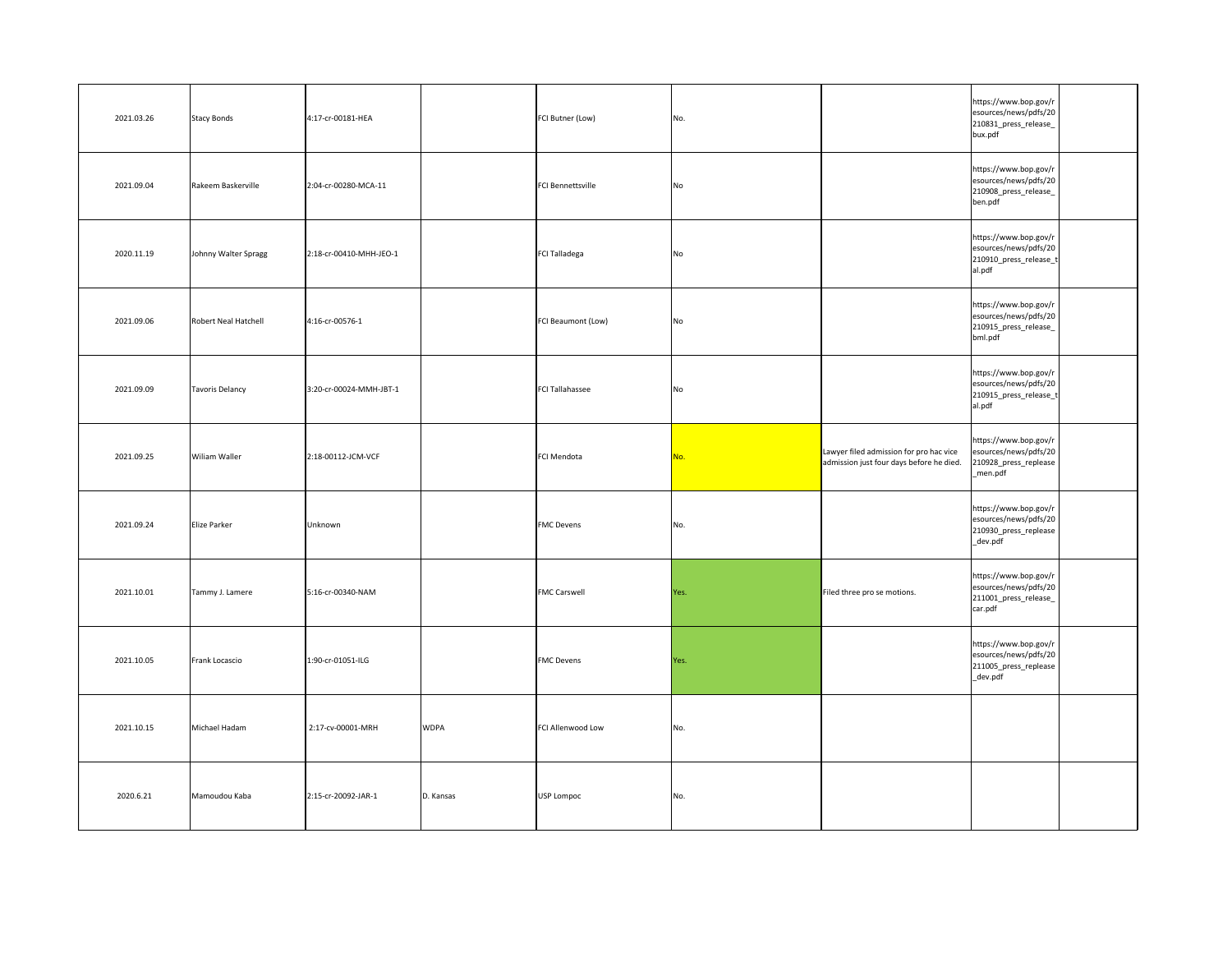| 2021.03.26 | Stacy Bonds          | 4:17-cr-00181-HEA       |             | FCI Butner (Low)         | No.            |                                                                                     | https://www.bop.gov/r<br>esources/news/pdfs/20<br>210831_press_release_<br>bux.pdf  |  |
|------------|----------------------|-------------------------|-------------|--------------------------|----------------|-------------------------------------------------------------------------------------|-------------------------------------------------------------------------------------|--|
| 2021.09.04 | Rakeem Baskerville   | 2:04-cr-00280-MCA-11    |             | <b>FCI Bennettsville</b> | No             |                                                                                     | https://www.bop.gov/r<br>esources/news/pdfs/20<br>210908_press_release_<br>ben.pdf  |  |
| 2020.11.19 | Johnny Walter Spragg | 2:18-cr-00410-MHH-JEO-1 |             | FCI Talladega            | N <sub>o</sub> |                                                                                     | https://www.bop.gov/r<br>esources/news/pdfs/20<br>210910_press_release_t<br>al.pdf  |  |
| 2021.09.06 | Robert Neal Hatchell | 4:16-cr-00576-1         |             | FCI Beaumont (Low)       | No             |                                                                                     | https://www.bop.gov/r<br>esources/news/pdfs/20<br>210915_press_release_<br>bml.pdf  |  |
| 2021.09.09 | Tavoris Delancy      | 3:20-cr-00024-MMH-JBT-1 |             | FCI Tallahassee          | No             |                                                                                     | https://www.bop.gov/r<br>esources/news/pdfs/20<br>210915_press_release_t<br>al.pdf  |  |
| 2021.09.25 | <b>Wiliam Waller</b> | 2:18-00112-JCM-VCF      |             | FCI Mendota              | No.            | Lawyer filed admission for pro hac vice<br>admission just four days before he died. | https://www.bop.gov/r<br>esources/news/pdfs/20<br>210928_press_replease<br>_men.pdf |  |
| 2021.09.24 | Elize Parker         | Unknown                 |             | <b>FMC Devens</b>        | No.            |                                                                                     | https://www.bop.gov/r<br>esources/news/pdfs/20<br>210930_press_replease<br>_dev.pdf |  |
| 2021.10.01 | Tammy J. Lamere      | 5:16-cr-00340-NAM       |             | <b>FMC Carswell</b>      | Yes.           | Filed three pro se motions.                                                         | https://www.bop.gov/r<br>esources/news/pdfs/20<br>211001_press_release_<br>car.pdf  |  |
| 2021.10.05 | Frank Locascio       | 1:90-cr-01051-ILG       |             | <b>FMC Devens</b>        | Yes.           |                                                                                     | https://www.bop.gov/r<br>esources/news/pdfs/20<br>211005_press_replease<br>_dev.pdf |  |
| 2021.10.15 | Michael Hadam        | 2:17-cv-00001-MRH       | <b>WDPA</b> | <b>FCI Allenwood Low</b> | No.            |                                                                                     |                                                                                     |  |
| 2020.6.21  | Mamoudou Kaba        | 2:15-cr-20092-JAR-1     | D. Kansas   | USP Lompoc               | No.            |                                                                                     |                                                                                     |  |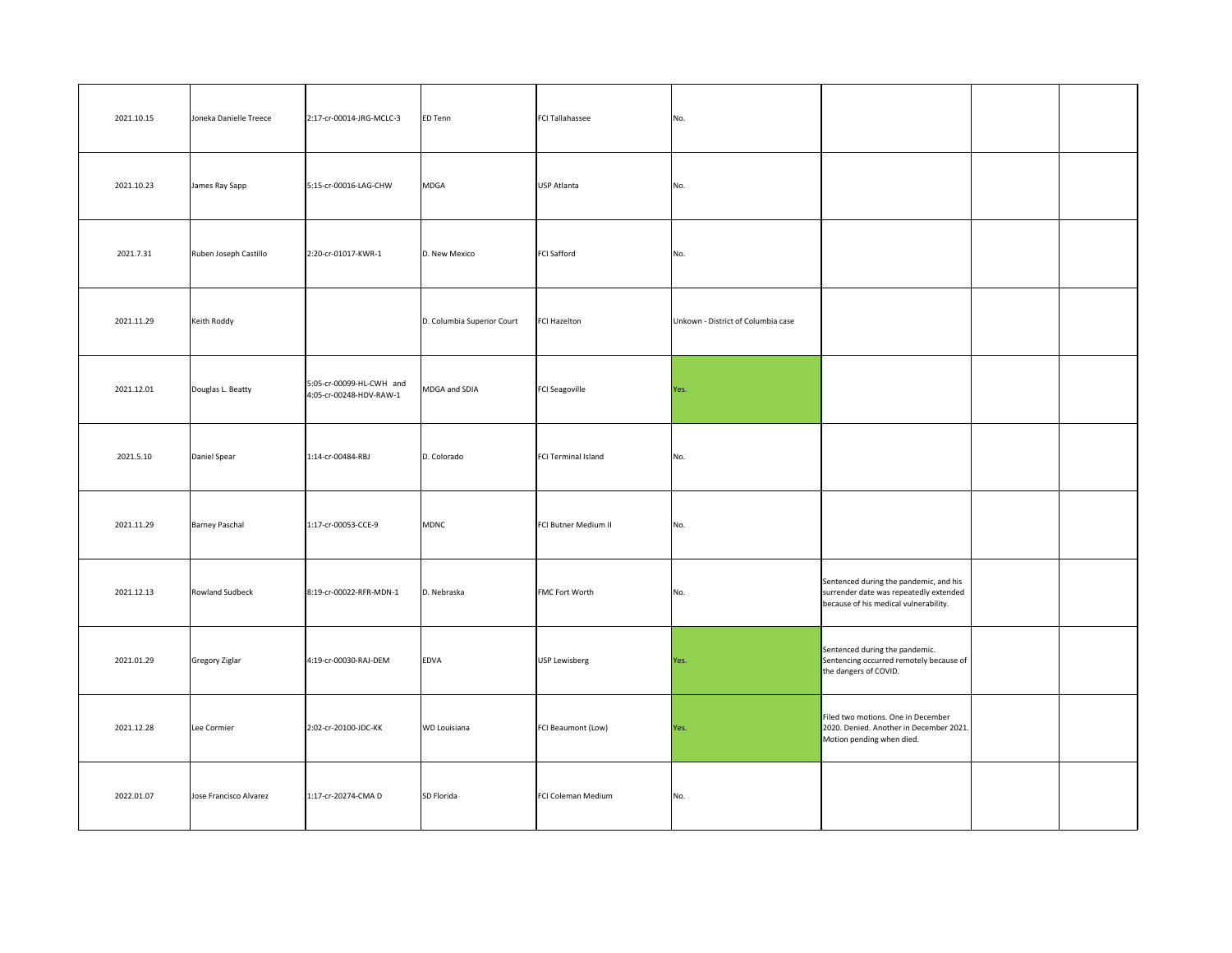| 2021.10.15 | Joneka Danielle Treece | 2:17-cr-00014-JRG-MCLC-3                            | ED Tenn                    | <b>FCI Tallahassee</b> | No.                                |                                                                                                                           |  |
|------------|------------------------|-----------------------------------------------------|----------------------------|------------------------|------------------------------------|---------------------------------------------------------------------------------------------------------------------------|--|
| 2021.10.23 | James Ray Sapp         | 5:15-cr-00016-LAG-CHW                               | <b>MDGA</b>                | USP Atlanta            | No.                                |                                                                                                                           |  |
| 2021.7.31  | Ruben Joseph Castillo  | 2:20-cr-01017-KWR-1                                 | D. New Mexico              | <b>FCI Safford</b>     | No.                                |                                                                                                                           |  |
| 2021.11.29 | Keith Roddy            |                                                     | D. Columbia Superior Court | FCI Hazelton           | Unkown - District of Columbia case |                                                                                                                           |  |
| 2021.12.01 | Douglas L. Beatty      | 5:05-cr-00099-HL-CWH and<br>4:05-cr-00248-HDV-RAW-1 | MDGA and SDIA              | <b>FCI Seagoville</b>  | Yes.                               |                                                                                                                           |  |
| 2021.5.10  | Daniel Spear           | 1:14-cr-00484-RBJ                                   | D. Colorado                | FCI Terminal Island    | No.                                |                                                                                                                           |  |
| 2021.11.29 | <b>Barney Paschal</b>  | 1:17-cr-00053-CCE-9                                 | MDNC                       | FCI Butner Medium II   | No.                                |                                                                                                                           |  |
| 2021.12.13 | <b>Rowland Sudbeck</b> | 8:19-cr-00022-RFR-MDN-1                             | D. Nebraska                | <b>FMC Fort Worth</b>  | No.                                | Sentenced during the pandemic, and his<br>surrender date was repeatedly extended<br>because of his medical vulnerability. |  |
| 2021.01.29 | Gregory Ziglar         | 4:19-cr-00030-RAJ-DEM                               | EDVA                       | USP Lewisberg          | Yes.                               | Sentenced during the pandemic.<br>Sentencing occurred remotely because of<br>the dangers of COVID.                        |  |
| 2021.12.28 | Lee Cormier            | 2:02-cr-20100-JDC-KK                                | <b>WD Louisiana</b>        | FCI Beaumont (Low)     | Yes.                               | Filed two motions. One in December<br>2020. Denied. Another in December 2021.<br>Motion pending when died.                |  |
| 2022.01.07 | Jose Francisco Alvarez | 1:17-cr-20274-CMA D                                 | SD Florida                 | FCI Coleman Medium     | No.                                |                                                                                                                           |  |